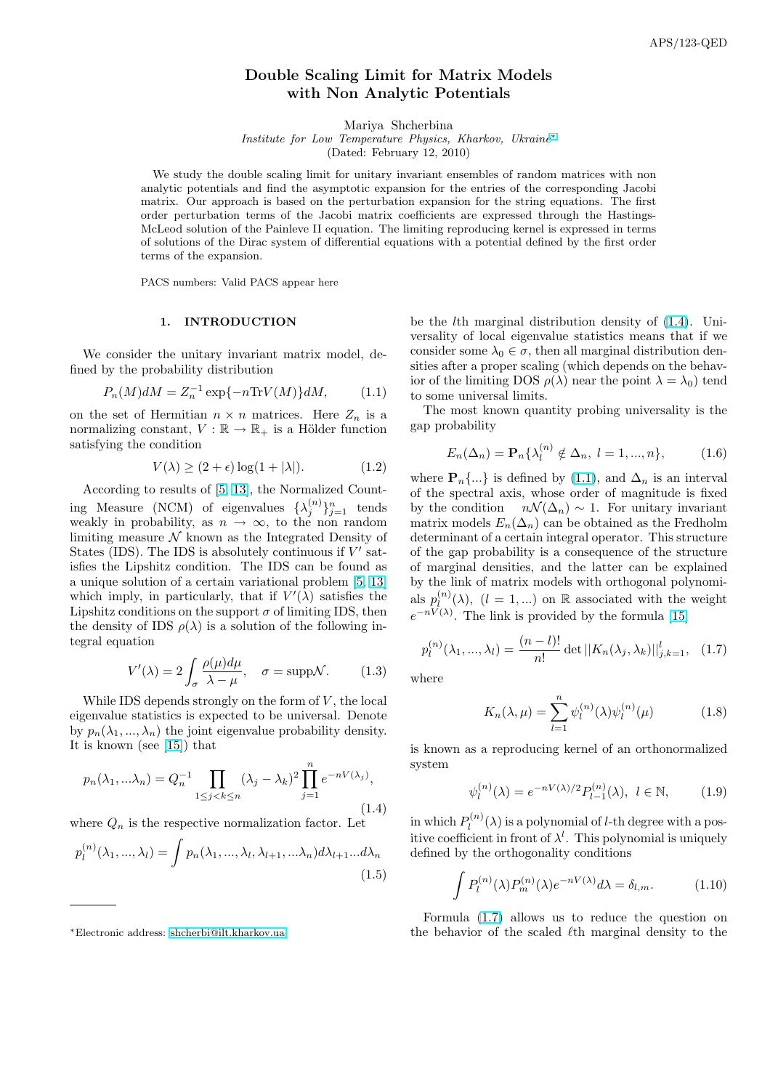# Double Scaling Limit for Matrix Models with Non Analytic Potentials

Mariya Shcherbina

Institute for Low Temperature Physics, Kharkov, Ukraine<sup>∗</sup>

(Dated: February 12, 2010)

<span id="page-0-0"></span>We study the double scaling limit for unitary invariant ensembles of random matrices with non analytic potentials and find the asymptotic expansion for the entries of the corresponding Jacobi matrix. Our approach is based on the perturbation expansion for the string equations. The first order perturbation terms of the Jacobi matrix coefficients are expressed through the Hastings-McLeod solution of the Painleve II equation. The limiting reproducing kernel is expressed in terms of solutions of the Dirac system of differential equations with a potential defined by the first order terms of the expansion.

PACS numbers: Valid PACS appear here

## 1. INTRODUCTION

We consider the unitary invariant matrix model, defined by the probability distribution

$$
P_n(M)dM = Z_n^{-1} \exp\{-n \text{Tr} V(M)\} dM, \tag{1.1}
$$

on the set of Hermitian  $n \times n$  matrices. Here  $Z_n$  is a normalizing constant,  $V : \mathbb{R} \to \mathbb{R}_+$  is a Hölder function satisfying the condition

$$
V(\lambda) \ge (2 + \epsilon) \log(1 + |\lambda|). \tag{1.2}
$$

According to results of [5, 13], the Normalized Counting Measure (NCM) of eigenvalues  $\{\lambda_j^{(n)}\}_{j=1}^n$  tends weakly in probability, as  $n \to \infty$ , to the non random limiting measure  $\mathcal N$  known as the Integrated Density of States (IDS). The IDS is [absolu](#page-21-0)tely continuous if  $V'$  satisfies the Lipshitz condition. The IDS can be found as a unique solution of a certain variational problem [5, 13] which imply, in particularly, that if  $V'(\lambda)$  satisfies the Lipshitz conditions on the support  $\sigma$  of limiting IDS, then the density of IDS  $\rho(\lambda)$  is a solution of the following integral equation

$$
V'(\lambda) = 2 \int_{\sigma} \frac{\rho(\mu)d\mu}{\lambda - \mu}, \quad \sigma = \text{suppN}.
$$
 (1.3)

While IDS depends strongly on the form of  $V$ , the local eigenvalue statistics is expected to be universal. Denote by  $p_n(\lambda_1, ..., \lambda_n)$  the joint eigenvalue probability density. It is known (see [15]) that

$$
p_n(\lambda_1, \dots, \lambda_n) = Q_n^{-1} \prod_{1 \le j < k \le n} (\lambda_j - \lambda_k)^2 \prod_{j=1}^n e^{-nV(\lambda_j)},\tag{1.4}
$$

where  $Q_n$  is the respective normalization factor. Let

$$
p_l^{(n)}(\lambda_1, ..., \lambda_l) = \int p_n(\lambda_1, ..., \lambda_l, \lambda_{l+1}, ..., \lambda_n) d\lambda_{l+1} ... d\lambda_n
$$
\n(1.5)

be the lth marginal distribution density of (1.4). Universality of local eigenvalue statistics means that if we consider some  $\lambda_0 \in \sigma$ , then all marginal distribution densities after a proper scaling (which depends on the behavior of the limiting DOS  $\rho(\lambda)$  near the point  $\lambda = \lambda_0$ ) tend to some universal limits.

The most known quantity probing universality is the gap probability

$$
E_n(\Delta_n) = \mathbf{P}_n\{\lambda_l^{(n)} \notin \Delta_n, \ l = 1, ..., n\},\tag{1.6}
$$

where  $\mathbf{P}_n\{\ldots\}$  is defined by (1.1), and  $\Delta_n$  is an interval of the spectral axis, whose order of magnitude is fixed by the condition  $n\mathcal{N}(\Delta_n) \sim 1$ . For unitary invariant matrix models  $E_n(\Delta_n)$  can be obtained as the Fredholm determinant of a certain integral operator. This structure of the gap probability is a consequence of the structure of marginal densities, and the latter can be explained by the link of matrix models with orthogonal polynomials  $p_l^{(n)}$  $\binom{n}{l}(\lambda)$ ,  $(l = 1,...)$  on  $\mathbb R$  associated with the weight  $e^{-nV(\lambda)}$ . The link is provided by the formula [15]

$$
p_l^{(n)}(\lambda_1, ..., \lambda_l) = \frac{(n-l)!}{n!} \det ||K_n(\lambda_j, \lambda_k)||_{j,k=1}^l, (1.7)
$$

where

$$
K_n(\lambda, \mu) = \sum_{l=1}^n \psi_l^{(n)}(\lambda) \psi_l^{(n)}(\mu)
$$
 (1.8)

is known as a reproducing kernel of an orthonormalized system

$$
\psi_l^{(n)}(\lambda) = e^{-nV(\lambda)/2} P_{l-1}^{(n)}(\lambda), \ l \in \mathbb{N}, \qquad (1.9)
$$

in which  $P_l^{(n)}$  $l_l^{(n)}(\lambda)$  is a polynomial of *l*-th degree with a positive coefficient in front of  $\lambda^l$ . This polynomial is uniquely defined by the orthogonality conditions

$$
\int P_l^{(n)}(\lambda) P_m^{(n)}(\lambda) e^{-nV(\lambda)} d\lambda = \delta_{l,m}.
$$
 (1.10)

Formula (1.7) allows us to reduce the question on the behavior of the scaled  $\ell$ th marginal density to the

<sup>∗</sup>Electronic address: shcherbi@ilt.kharkov.ua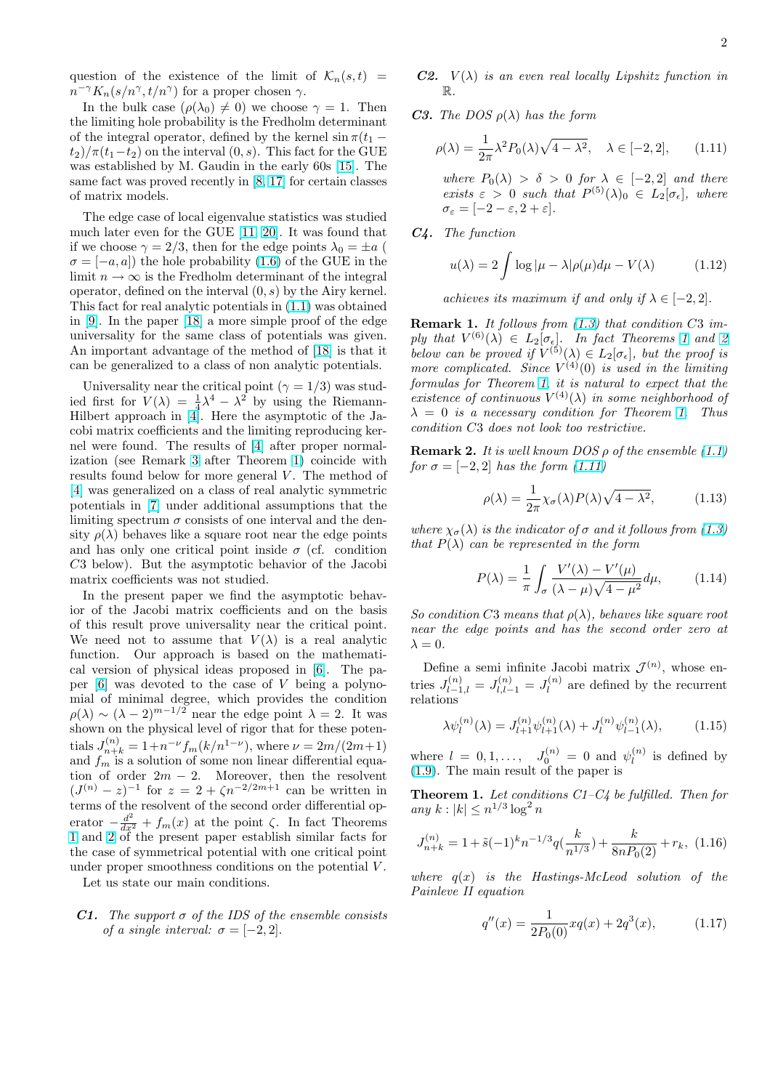<span id="page-1-0"></span>question of the existence of the limit of  $\mathcal{K}_n(s,t)$  =  $n^{-\gamma} K_n(s/n^{\gamma}, t/n^{\gamma})$  for a proper chosen  $\gamma$ .

In the bulk case  $(\rho(\lambda_0) \neq 0)$  we choose  $\gamma = 1$ . Then the limiting hole probability is the Fredholm determinant of the integral operator, defined by the kernel  $\sin \pi (t_1$  $t_2/\pi(t_1-t_2)$  on the interval  $(0, s)$ . This fact for the GUE was established by M. Gaudin in the early 60s [15]. The same fact was proved recently in [8, 17] for certain classes of matrix models.

The edge case of local eigenvalue statistics was studied much later even for the GUE [11, 20]. It was fo[und](#page-21-0) that if we choose  $\gamma = 2/3$ , then for th[e edge](#page-21-0) points  $\lambda_0 = \pm a$  (  $\sigma = [-a, a]$  the hole probability (1.6) of the GUE in the limit  $n \to \infty$  is the Fredholm determinant of the integral operator, defined on the interval  $(0, s)$  $(0, s)$  $(0, s)$  by the Airy kernel. This fact for real analytic potentials in (1.1) was obtained in [9]. In the paper [18] a more s[impl](#page-0-0)e proof of the edge universality for the same class of potentials was given. An important advantage of the method of [18] is that it can be generalized to a class of non an[alyt](#page-0-0)ic potentials.

[Un](#page-21-0)iversality near [the](#page-21-0) critical point  $(\gamma = 1/3)$  was studied first for  $V(\lambda) = \frac{1}{4}\lambda^4 - \lambda^2$  by using the Riemann-Hilbert approach in [4]. Here the asympto[tic](#page-21-0) of the Jacobi matrix coefficients and the limiting reproducing kernel were found. The results of [4] after proper normalization (see Remark 3 after Theorem 1) coincide with resultsfound below f[or](#page-20-0) more general  $V$ . The method of [4] was generalized on a class of real analytic symmetric potentials in [7] under addition[al](#page-20-0) assumptions that the limiting spectrum  $\sigma$  [con](#page-2-0)sists of one interval and the density  $\rho(\lambda)$  behaves like a square root near the edge points [an](#page-20-0)d has only one critical point inside  $\sigma$  (cf. condition C3 below). [But](#page-21-0) the asymptotic behavior of the Jacobi matrix coefficients was not studied.

In the present paper we find the asymptotic behavior of the Jacobi matrix coefficients and on the basis of this result prove universality near the critical point. We need not to assume that  $V(\lambda)$  is a real analytic function. Our approach is based on the mathematical version of physical ideas proposed in [6]. The paper  $[6]$  was devoted to the case of V being a polynomial of minimal degree, which provides the condition  $\rho(\lambda) \sim (\lambda - 2)^{m-1/2}$  near the edge point  $\lambda = 2$ . It was shown on the physical level of rigor that for [th](#page-21-0)ese potentials  $J_{n+k}^{(n)} = 1 + n^{-\nu} f_m(k/n^{1-\nu})$  $J_{n+k}^{(n)} = 1 + n^{-\nu} f_m(k/n^{1-\nu})$ , where  $\nu = 2m/(2m+1)$ and  $f_m$  is a solution of some non linear differential equation of order  $2m - 2$ . Moreover, then the resolvent  $(J^{(n)} - z)^{-1}$  for  $z = 2 + \zeta n^{-2/2m+1}$  can be written in terms of the resolvent of the second order differential operator  $-\frac{d^2}{dx^2} + f_m(x)$  at the point  $\zeta$ . In fact Theorems 1 and 2 of the present paper establish similar facts for the case of symmetrical potential with one critical point under proper smoothness conditions on the potential V.

Let us state our main conditions.

# **C1.** The support  $\sigma$  of the IDS of the ensemble consists of a single interval:  $\sigma = [-2, 2]$ .

- **C2.**  $V(\lambda)$  is an even real locally Lipshitz function in R.
- **C3.** The DOS  $\rho(\lambda)$  has the form

$$
\rho(\lambda) = \frac{1}{2\pi} \lambda^2 P_0(\lambda) \sqrt{4 - \lambda^2}, \quad \lambda \in [-2, 2], \qquad (1.11)
$$

where  $P_0(\lambda) > \delta > 0$  for  $\lambda \in [-2, 2]$  and there exists  $\varepsilon > 0$  such that  $P^{(5)}(\lambda)_0 \in L_2[\sigma_{\epsilon}],$  where  $\sigma_{\varepsilon} = [-2 - \varepsilon, 2 + \varepsilon].$ 

C4. The function

$$
u(\lambda) = 2 \int \log|\mu - \lambda| \rho(\mu) d\mu - V(\lambda)
$$
 (1.12)

achieves its maximum if and only if  $\lambda \in [-2, 2]$ .

**Remark 1.** It follows from  $(1.3)$  that condition C3 imply that  $V^{(6)}(\lambda) \in L_2[\sigma_{\epsilon}]$ . In fact Theorems 1 and 2 below can be proved if  $V^{(5)}(\lambda) \in L_2[\sigma_{\epsilon}],$  but the proof is more complicated. Since  $V^{(4)}(0)$  is used in the limiting formulas for Theorem 1, iti[s na](#page-0-0)tural to expect that the existence [of](#page-2-0) continuous  $V^{(4)}(\lambda)$  in some neighborhood of  $\lambda = 0$  is a necessary condition for Theorem 1. Thus condition C3 does not look too restrictive.

**Remark 2.** It is well known DOS  $\rho$  of the ensemble  $(1.1)$ for  $\sigma = [-2, 2]$  has the form  $(1.11)$ 

$$
\rho(\lambda) = \frac{1}{2\pi} \chi_{\sigma}(\lambda) P(\lambda) \sqrt{4 - \lambda^2}, \quad (1.13)
$$

where  $\chi_{\sigma}(\lambda)$  is the indicator of  $\sigma$  and it follows from (1.3) that  $P(\lambda)$  can be represented in the form

$$
P(\lambda) = \frac{1}{\pi} \int_{\sigma} \frac{V'(\lambda) - V'(\mu)}{(\lambda - \mu)\sqrt{4 - \mu^2}} d\mu,
$$
 (1.14)

So condition C3 means that  $\rho(\lambda)$ , behaves like square root near the edge points and has the second order zero at  $\lambda = 0$ .

Define a semi infinite Jacobi matrix  $\mathcal{J}^{(n)}$ , whose entries  $J_{l-1,l}^{(n)} = J_{l,l-1}^{(n)} = J_l^{(n)}$  $\ell_l^{(n)}$  are defined by the recurrent relations

$$
\lambda \psi_l^{(n)}(\lambda) = J_{l+1}^{(n)} \psi_{l+1}^{(n)}(\lambda) + J_l^{(n)} \psi_{l-1}^{(n)}(\lambda), \tag{1.15}
$$

where  $l = 0, 1, ..., J_0^{(n)} = 0$  and  $\psi_l^{(n)}$  $\binom{n}{l}$  is defined by (1.9). The main result of the paper is

**Theorem 1.** Let conditions  $C1-C4$  be fulfilled. Then for any  $k : |k| \leq n^{1/3} \log^2 n$ 

$$
J_{n+k}^{(n)} = 1 + \tilde{s}(-1)^k n^{-1/3} q(\frac{k}{n^{1/3}}) + \frac{k}{8nP_0(2)} + r_k, \ (1.16)
$$

where  $q(x)$  is the Hastings-McLeod solution of the Painleve II equation

$$
q''(x) = \frac{1}{2P_0(0)}xq(x) + 2q^3(x), \qquad (1.17)
$$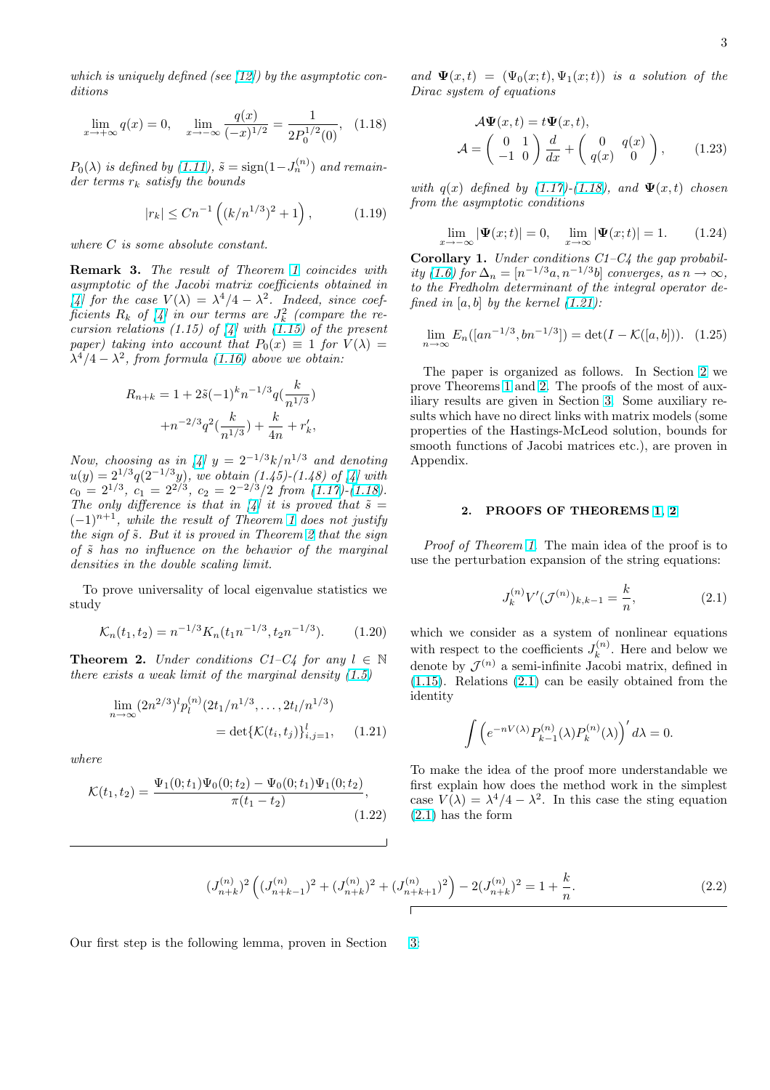<span id="page-2-0"></span>which is uniquely defined (see  $(12)$ ) by the asymptotic conditions

$$
\lim_{x \to +\infty} q(x) = 0, \quad \lim_{x \to -\infty} \frac{q(x)}{(-x)^{1/2}} = \frac{1}{2P_0^{1/2}(0)}, \quad (1.18)
$$

 $P_0(\lambda)$  is defined by (1.11),  $\tilde{s} = \text{sign}(1 - J_n^{(n)})$  and remainder terms  $r_k$  satisfy the bounds

$$
|r_k| \le Cn^{-1} \left( (k/n^{1/3})^2 + 1 \right), \tag{1.19}
$$

where C is some absolute constant.

Remark 3. The result of Theorem 1 coincides with asymptotic of the Jacobi matrix coefficients obtained in [4] for the case  $V(\lambda) = \lambda^4/4 - \lambda^2$ . Indeed, since coefficients  $R_k$  of [4] in our terms are  $J_k^2$  (compare the re-cursion relations (1.[15](#page-1-0)) of  $\mathcal{A}$  with (1.15) of the present paper) taking into account that  $P_0(x) \equiv 1$  for  $V(\lambda) =$  $\lambda^4/4 - \lambda^2$ , from formula (1.16) above we obtain:

$$
R_{n+k} = 1 + 2\tilde{s}(-1)^{k}n^{-1/3}q(\frac{k}{n^{1/3}}) + n^{-2/3}q^{2}(\frac{k}{n^{1/3}}) + \frac{k}{4n} + r'_{k},
$$

Now, choosing as in  $\left[\frac{1}{4}\right] y = 2^{-1/3} k/n^{1/3}$  and denoting  $u(y) = 2^{1/3} q(2^{-1/3}y)$ , we obtain  $(1.45)-(1.48)$  of [4] with  $c_0 = 2^{1/3}, c_1 = 2^{2/3}, c_2 = 2^{-2/3}/2 \text{ from } (1.17)$ - $(1.18)$ . The only difference is that in [4] it is proved that  $\tilde{s} =$  $(-1)^{n+1}$ , while the re[su](#page-20-0)lt of Theorem 1 does not justify thesign of  $\tilde{s}$ . But it is proved in T[he](#page-20-0)orem 2 that the sign of  $\tilde{s}$  has no influence on the behavior of [the m](#page-1-0)arginal densities in the double scalingl[im](#page-20-0)it.

To prove universality of local eigen[val](#page-1-0)ue statistics we study

$$
\mathcal{K}_n(t_1, t_2) = n^{-1/3} K_n(t_1 n^{-1/3}, t_2 n^{-1/3}). \tag{1.20}
$$

**Theorem 2.** Under conditions C1–C4 for any  $l \in \mathbb{N}$ there exists a weak limit of the marginal density  $(1.5)$ 

$$
\lim_{n \to \infty} (2n^{2/3})^l p_l^{(n)}(2t_1/n^{1/3}, \dots, 2t_l/n^{1/3})
$$
  
= det{K(t<sub>i</sub>, t<sub>j</sub>)} $_{{i,j=1}}^l$ , (1.21)

where

$$
\mathcal{K}(t_1, t_2) = \frac{\Psi_1(0; t_1)\Psi_0(0; t_2) - \Psi_0(0; t_1)\Psi_1(0; t_2)}{\pi(t_1 - t_2)},
$$
\n(1.22)

and  $\Psi(x,t) = (\Psi_0(x;t), \Psi_1(x;t))$  is a solution of the Dirac system of equations

$$
\mathcal{A}\Psi(x,t) = t\Psi(x,t),
$$
  

$$
\mathcal{A} = \begin{pmatrix} 0 & 1 \\ -1 & 0 \end{pmatrix} \frac{d}{dx} + \begin{pmatrix} 0 & q(x) \\ q(x) & 0 \end{pmatrix},
$$
 (1.23)

with  $q(x)$  defined by (1.17)-(1.18), and  $\Psi(x,t)$  chosen from the asymptotic conditions

$$
\lim_{x \to -\infty} |\Psi(x; t)| = 0, \quad \lim_{x \to \infty} |\Psi(x; t)| = 1.
$$
 (1.24)

**Corollary 1.** Under [condit](#page-1-0)ions  $C1-C4$  the gap probability (1.6) for  $\Delta_n = [n^{-1/3}a, n^{-1/3}b]$  converges, as  $n \to \infty$ , to the Fredholm determinant of the integral operator defined in  $[a, b]$  by the kernel  $(1.21)$ :

$$
\lim_{n \to \infty} E_n([an^{-1/3}, bn^{-1/3}]) = \det(I - \mathcal{K}([a, b])). \quad (1.25)
$$

The paper is organized as follows. In Section 2 we prove Theorems 1 and 2. The proofs of the most of auxiliary results are given in Section 3. Some auxiliary results which have no direct links with matrix models (some properties of the Hastings-McLeod solution, bounds for smooth function[s o](#page-1-0)f Jacobi matrices etc.), are proven in Appendix.

### 2. PROOFS OF THEOREMS 1, 2

Proof of Theorem 1. The main idea of the proof is to use the perturbation expansion of the string equations:

$$
J_k^{(n)}V'(\mathcal{J}^{(n)})_{k,k-1} = \frac{k}{n},\tag{2.1}
$$

which we consider as a system of nonlinear equations with respect to the coefficients  $J_{\mu}^{(n)}$  $k^{(n)}$ . Here and below we denote by  $\mathcal{J}^{(n)}$  a semi-infinite Jacobi matrix, defined in (1.15). Relations (2.1) can be easily obtained from the identity

$$
\int \left( e^{-nV(\lambda)} P_{k-1}^{(n)}(\lambda) P_k^{(n)}(\lambda) \right)' d\lambda = 0.
$$

To make the idea of the proof more understandable we first explain how does the method work in the simplest case  $V(\lambda) = \lambda^4/4 - \lambda^2$ . In this case the sting equation (2.1) has the form

$$
(J_{n+k}^{(n)})^2 \left( (J_{n+k-1}^{(n)})^2 + (J_{n+k}^{(n)})^2 + (J_{n+k+1}^{(n)})^2 \right) - 2(J_{n+k}^{(n)})^2 = 1 + \frac{k}{n}.
$$
 (2.2)

Our first step is the following lemma, proven in Section 3: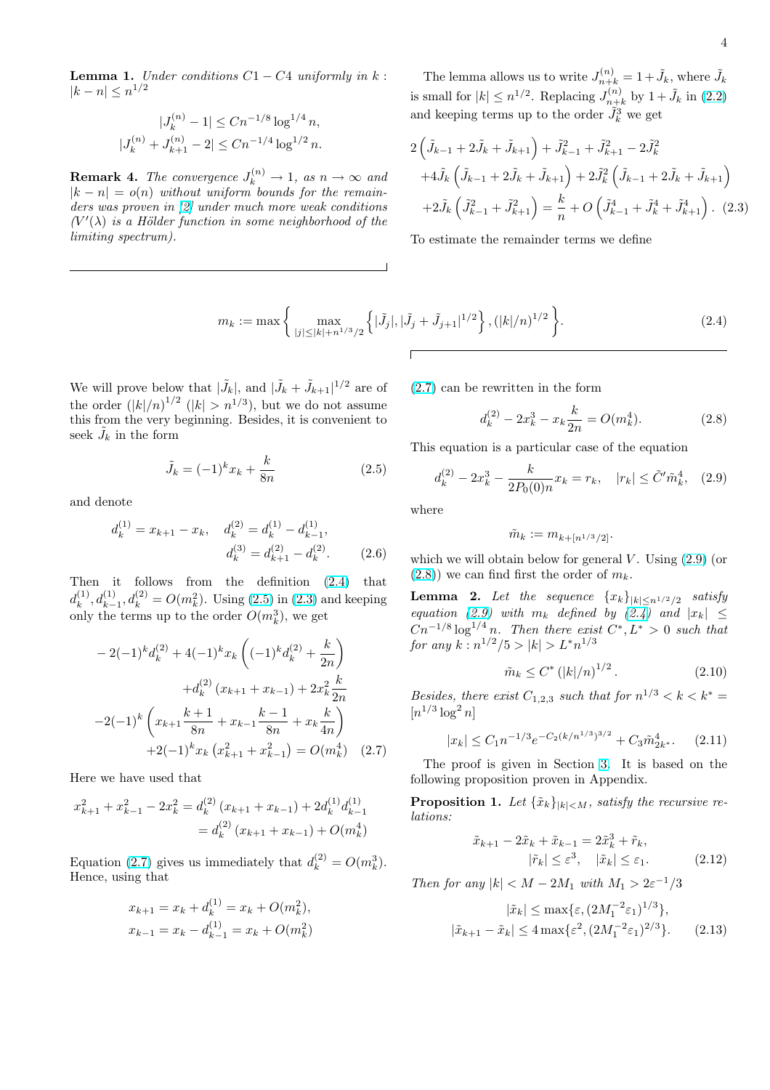<span id="page-3-0"></span>Lemma 1. Under conditions  $C1 - C4$  uniformly in  $k$ :  $|k - n| \leq n^{1/2}$ 

$$
|J_k^{(n)} - 1| \le Cn^{-1/8} \log^{1/4} n,
$$
  

$$
|J_k^{(n)} + J_{k+1}^{(n)} - 2| \le Cn^{-1/4} \log^{1/2} n.
$$

**Remark 4.** The convergence  $J_k^{(n)} \to 1$ , as  $n \to \infty$  and  $|k - n| = o(n)$  without uniform bounds for the remainders was proven in [2] under much more weak conditions  $(V'(\lambda))$  is a Hölder function in some neighborhood of the limiting spectrum).

The lemma allows us to write  $J_{n+k}^{(n)} = 1 + \tilde{J}_k$ , where  $\tilde{J}_k$ is small for  $|k| \leq n^{1/2}$ . Replacing  $J_{n+1}^{(n)}$  $\tilde{J}_{n+k}^{(n)}$  by  $1+\tilde{J}_k$  in  $(2.2)$ and keeping terms up to the order  $\tilde{J}_k^3$  we get

$$
2\left(\tilde{J}_{k-1} + 2\tilde{J}_k + \tilde{J}_{k+1}\right) + \tilde{J}_{k-1}^2 + \tilde{J}_{k+1}^2 - 2\tilde{J}_k^2
$$
  
+4 $\tilde{J}_k\left(\tilde{J}_{k-1} + 2\tilde{J}_k + \tilde{J}_{k+1}\right) + 2\tilde{J}_k^2\left(\tilde{J}_{k-1} + 2\tilde{J}_k + \tilde{J}_{k+1}\right)$   
+2 $\tilde{J}_k\left(\tilde{J}_{k-1}^2 + \tilde{J}_{k+1}^2\right) = \frac{k}{n} + O\left(\tilde{J}_{k-1}^4 + \tilde{J}_k^4 + \tilde{J}_{k+1}^4\right). (2.3)$ 

To estimate the remainder terms we define

$$
m_k := \max\left\{\max_{|j| \le |k| + n^{1/3}/2} \left\{|\tilde{J}_j|, |\tilde{J}_j + \tilde{J}_{j+1}|^{1/2}\right\}, (|k|/n)^{1/2}\right\}.
$$
 (2.4)

We will prove below that  $|\tilde{J}_k|$ , and  $|\tilde{J}_k + \tilde{J}_{k+1}|^{1/2}$  are of the order  $(|k|/n)^{1/2}$   $(|k| > n^{1/3})$ , but we do not assume this from the very beginning. Besides, it is convenient to seek  $\tilde{J}_k$  in the form

$$
\tilde{J}_k = (-1)^k x_k + \frac{k}{8n} \tag{2.5}
$$

and denote

$$
d_k^{(1)} = x_{k+1} - x_k, \quad d_k^{(2)} = d_k^{(1)} - d_{k-1}^{(1)},
$$

$$
d_k^{(3)} = d_{k+1}^{(2)} - d_k^{(2)}.
$$
(2.6)

Then it follows from the definition (2.4) that  $d_k^{(1)}$  $k^{(1)}_k, d_{k-1}^{(1)}, d_k^{(2)} = O(m_k^2)$ . Using (2.5) in (2.3) and keeping only the terms up to the order  $O(m_k^3)$ , we get

$$
-2(-1)^{k}d_{k}^{(2)} + 4(-1)^{k}x_{k}\left((-1)^{k}d_{k}^{(2)} + \frac{k}{2n}\right)
$$

$$
+d_{k}^{(2)}\left(x_{k+1} + x_{k-1}\right) + 2x_{k}^{2}\frac{k}{2n}
$$

$$
-2(-1)^{k}\left(x_{k+1}\frac{k+1}{8n} + x_{k-1}\frac{k-1}{8n} + x_{k}\frac{k}{4n}\right)
$$

$$
+2(-1)^{k}x_{k}\left(x_{k+1}^{2} + x_{k-1}^{2}\right) = O(m_{k}^{4}) \quad (2.7)
$$

Here we have used that

$$
x_{k+1}^2 + x_{k-1}^2 - 2x_k^2 = d_k^{(2)} (x_{k+1} + x_{k-1}) + 2d_k^{(1)} d_{k-1}^{(1)}
$$
  
=  $d_k^{(2)} (x_{k+1} + x_{k-1}) + O(m_k^4)$ 

Equation (2.7) gives us immediately that  $d_k^{(2)} = O(m_k^3)$ . Hence, using that

$$
x_{k+1} = x_k + d_k^{(1)} = x_k + O(m_k^2),
$$
  

$$
x_{k-1} = x_k - d_{k-1}^{(1)} = x_k + O(m_k^2)
$$

(2.7) can be rewritten in the form

$$
d_k^{(2)} - 2x_k^3 - x_k \frac{k}{2n} = O(m_k^4). \tag{2.8}
$$

This equation is a particular case of the equation

$$
d_k^{(2)} - 2x_k^3 - \frac{k}{2P_0(0)n}x_k = r_k, \quad |r_k| \le \tilde{C}'\tilde{m}_k^4, \quad (2.9)
$$

where

$$
\tilde{m}_k := m_{k+[n^{1/3}/2]}.
$$

which we will obtain below for general V. Using  $(2.9)$  (or  $(2.8)$ ) we can find first the order of  $m_k$ .

**Lemma 2.** Let the sequence  ${x_k}_{|k \leq n^{1/2}/2}$  satisfy equation (2.9) with  $m_k$  defined by (2.4) and  $|x_k| \leq$  $Cn^{-1/8} \log^{1/4} n$ . Then there exist  $C^*, L^* > 0$  such that for any  $k: n^{1/2}/5 > |k| > L^* n^{1/3}$ 

$$
\tilde{m}_k \le C^* \left( |k|/n \right)^{1/2} . \tag{2.10}
$$

Besides, there exist  $C_{1,2,3}$  such that for  $n^{1/3} < k < k^* =$  $[n^{1/3} \log^2 n]$ 

$$
|x_k| \le C_1 n^{-1/3} e^{-C_2 (k/n^{1/3})^{3/2}} + C_3 \tilde{m}_{2k^*}^4. \tag{2.11}
$$

The proof is given in Section 3. It is based on the following proposition proven in Appendix.

**Proposition 1.** Let  $\{\tilde{x}_k\}_{|k| \leq M}$ , satisfy the recursive relations:

$$
\tilde{x}_{k+1} - 2\tilde{x}_k + \tilde{x}_{k-1} = 2\tilde{x}_k^3 + \tilde{r}_k, |\tilde{r}_k| \le \varepsilon^3, \quad |\tilde{x}_k| \le \varepsilon_1.
$$
\n(2.12)

Then for any  $|k| < M - 2M_1$  with  $M_1 > 2\varepsilon^{-1}/3$ 

$$
|\tilde{x}_k| \le \max\{\varepsilon, (2M_1^{-2}\varepsilon_1)^{1/3}\},
$$
  

$$
|\tilde{x}_{k+1} - \tilde{x}_k| \le 4 \max\{\varepsilon^2, (2M_1^{-2}\varepsilon_1)^{2/3}\}.
$$
 (2.13)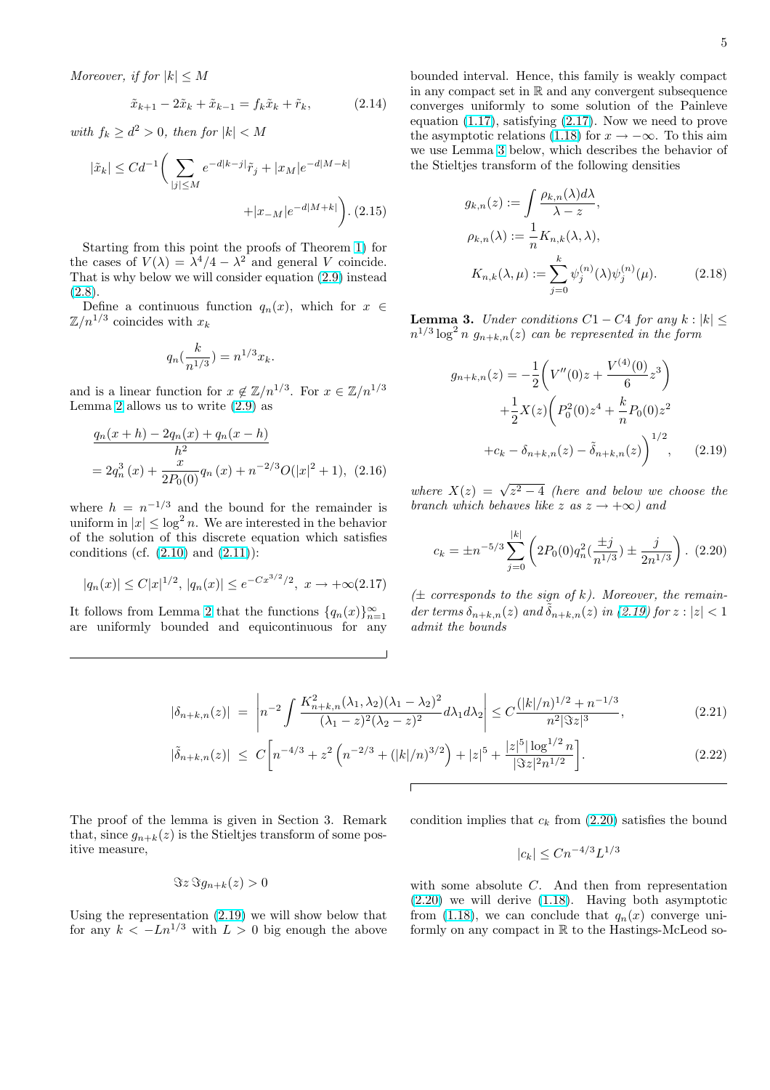<span id="page-4-0"></span>Moreover, if for  $|k| \leq M$ 

$$
\tilde{x}_{k+1} - 2\tilde{x}_k + \tilde{x}_{k-1} = f_k \tilde{x}_k + \tilde{r}_k, \tag{2.14}
$$

with  $f_k \geq d^2 > 0$ , then for  $|k| < M$ 

$$
|\tilde{x}_k| \leq C d^{-1} \bigg( \sum_{|j| \leq M} e^{-d|k-j|} \tilde{r}_j + |x_M| e^{-d|M-k|} + |x_{-M}| e^{-d|M+k|} \bigg). \tag{2.15}
$$

Starting from this point the proofs of Theorem 1) for the cases of  $V(\lambda) = \lambda^4/4 - \lambda^2$  and general V coincide. That is why below we will consider equation (2.9) instead  $(2.8).$ 

Define a continuous function  $q_n(x)$ , which fo[r](#page-1-0)  $x \in$  $\mathbb{Z}/n^{1/3}$  coincides with  $x_k$ 

$$
q_n(\frac{k}{n^{1/3}}) = n^{1/3}x_k.
$$

and is a linear function for  $x \notin \mathbb{Z}/n^{1/3}$ . For  $x \in \mathbb{Z}/n^{1/3}$ Lemma 2 allows us to write  $(2.9)$  as

$$
\frac{q_n(x+h) - 2q_n(x) + q_n(x-h)}{h^2}
$$
  
=  $2q_n^3(x) + \frac{x}{2P_0(0)}q_n(x) + n^{-2/3}O(|x|^2 + 1)$ , (2.16)

where  $h = n^{-1/3}$  and the bound for the remainder is uniform in  $|x| \leq \log^2 n$ . We are interested in the behavior of the solution of this discrete equation which satisfies conditions (cf.  $(2.10)$  and  $(2.11)$ ):

$$
|q_n(x)| \le C|x|^{1/2}, |q_n(x)| \le e^{-Cx^{3/2}/2}, x \to +\infty(2.17)
$$

It follows from [Lemm](#page-3-0)a 2 [that t](#page-3-0)he functions  $\{q_n(x)\}_{n=1}^\infty$ are uniformly bounded and equicontinuous for any

bounded interval. Hence, this family is weakly compact in any compact set in  $\mathbb R$  and any convergent subsequence converges uniformly to some solution of the Painleve equation (1.17), satisfying (2.17). Now we need to prove the asymptotic relations (1.18) for  $x \to -\infty$ . To this aim we use Lemma 3 below, which describes the behavior of the Stieltjes transform of the following densities

$$
g_{k,n}(z) := \int \frac{\rho_{k,n}(\lambda)d\lambda}{\lambda - z},
$$
  
\n
$$
\rho_{k,n}(\lambda) := \frac{1}{n} K_{n,k}(\lambda, \lambda),
$$
  
\n
$$
K_{n,k}(\lambda, \mu) := \sum_{j=0}^{k} \psi_j^{(n)}(\lambda) \psi_j^{(n)}(\mu).
$$
 (2.18)

**Lemma 3.** Under conditions  $C1 - C4$  for any  $k : |k| \leq$  $n^{1/3}\log^2 n$   $g_{n+k,n}(z)$  can be represented in the form

$$
g_{n+k,n}(z) = -\frac{1}{2} \left( V''(0)z + \frac{V^{(4)}(0)}{6} z^3 \right)
$$

$$
+ \frac{1}{2} X(z) \left( P_0^2(0) z^4 + \frac{k}{n} P_0(0) z^2 \right)
$$

$$
+ c_k - \delta_{n+k,n}(z) - \tilde{\delta}_{n+k,n}(z) \right)^{1/2}, \qquad (2.19)
$$

where  $X(z) = \sqrt{z^2 - 4}$  (here and below we choose the branch which behaves like z as  $z \rightarrow +\infty$ ) and

$$
c_k = \pm n^{-5/3} \sum_{j=0}^{|k|} \left( 2P_0(0) q_n^2 \left( \frac{\pm j}{n^{1/3}} \right) \pm \frac{j}{2n^{1/3}} \right). \tag{2.20}
$$

 $(\pm$  corresponds to the sign of k). Moreover, the remainder terms  $\delta_{n+k,n}(z)$  and  $\delta_{n+k,n}(z)$  in (2.19) for  $z : |z| < 1$ admit the bounds

$$
|\delta_{n+k,n}(z)| = \left| n^{-2} \int \frac{K_{n+k,n}^2(\lambda_1, \lambda_2)(\lambda_1 - \lambda_2)^2}{(\lambda_1 - z)^2 (\lambda_2 - z)^2} d\lambda_1 d\lambda_2 \right| \le C \frac{(|k|/n)^{1/2} + n^{-1/3}}{n^2 |\Im z|^3},
$$
(2.21)

$$
|\tilde{\delta}_{n+k,n}(z)| \le C \bigg[ n^{-4/3} + z^2 \left( n^{-2/3} + (|k|/n)^{3/2} \right) + |z|^5 + \frac{|z|^5 |\log^{1/2} n}{|\Im z|^2 n^{1/2}} \bigg]. \tag{2.22}
$$

Г

The proof of the lemma is given in Section 3. Remark that, since  $g_{n+k}(z)$  is the Stieltjes transform of some positive measure,

$$
\Im z \Im g_{n+k}(z) > 0
$$

Using the representation (2.19) we will show below that for any  $k < -Ln^{1/3}$  with  $L > 0$  big enough the above condition implies that  $c_k$  from (2.20) satisfies the bound

$$
|c_k| \le Cn^{-4/3}L^{1/3}
$$

with some absolute C. And then from representation (2.20) we will derive (1.18). Having both asymptotic from (1.18), we can conclude that  $q_n(x)$  converge uniformly on any compact in R to the Hastings-McLeod so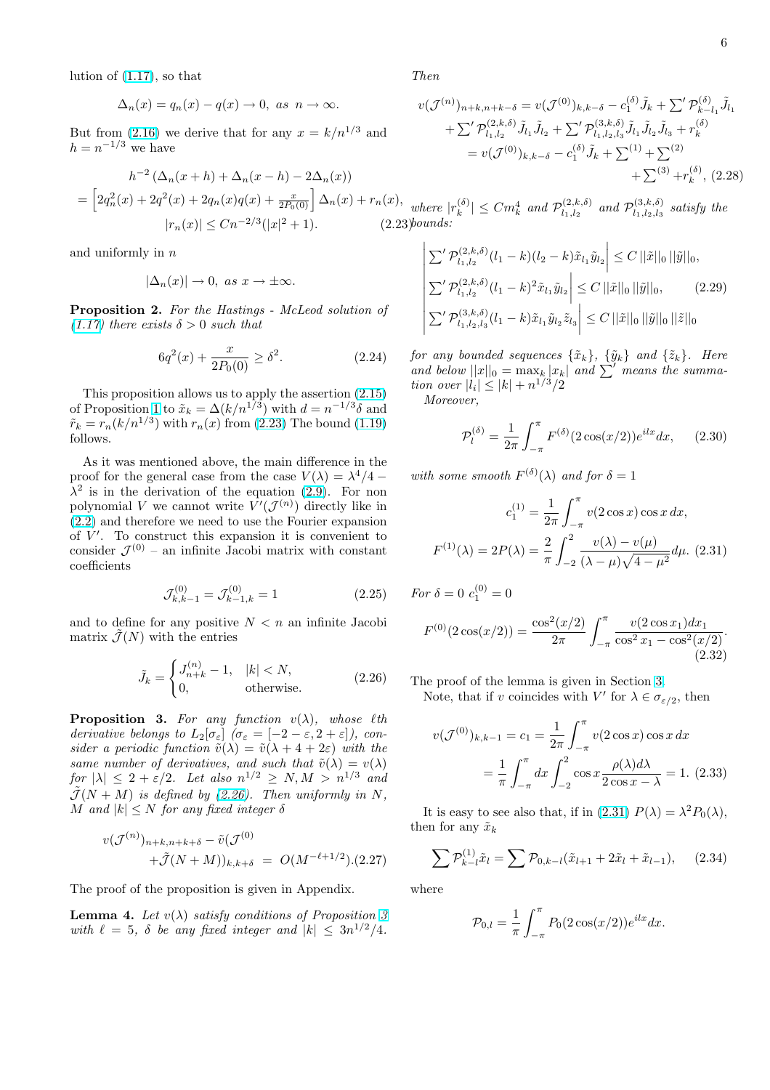<span id="page-5-0"></span>lution of (1.17), so that

$$
\Delta_n(x)=q_n(x)-q(x)\to 0,\ as\ \ n\to\infty.
$$

But from [\(2.16](#page-1-0)) we derive that for any  $x = k/n^{1/3}$  and  $h = n^{-1/3}$  we have

$$
h^{-2} (\Delta_n(x+h) + \Delta_n(x-h) - 2\Delta_n(x))
$$
  
=  $\left[ 2q_n^2(x) + 2q^2(x) + 2q_n(x)q(x) + \frac{x}{2P_0(0)} \right] \Delta_n(x) + r_n(x),$  where  $|r_n(x)| \le Cn^{-2/3}(|x|^2 + 1).$  (2.23)*bounds:*

and uniformly in  $n$ 

$$
|\Delta_n(x)| \to 0, \text{ as } x \to \pm \infty.
$$

Proposition 2. For the Hastings - McLeod solution of (1.17) there exists  $\delta > 0$  such that

$$
6q^2(x) + \frac{x}{2P_0(0)} \ge \delta^2. \tag{2.24}
$$

[Thi](#page-1-0)s proposition allows us to apply the assertion (2.15) of Proposition 1 to  $\tilde{x}_k = \Delta(k/n^{1/3})$  with  $d = n^{-1/3}\delta$  and  $\tilde{r}_k = r_n (k/n^{1/3})$  with  $r_n(x)$  from (2.23) The bound (1.19) follows.

As it was mentioned above, the main difference [in the](#page-4-0) proof for the [gen](#page-3-0)eral case from the case  $V(\lambda) = \lambda^4/4$  –  $\lambda^2$  is in the derivation of the equation (2.9). Fo[r non](#page-2-0) polynomial V we cannot write  $V'(\mathcal{J}^{(n)})$  directly like in (2.2) and therefore we need to use the Fourier expansion of  $V'$ . To construct this expansion it is convenient to consider  $\mathcal{J}^{(0)}$  – an infinite Jacobi matrix [wit](#page-3-0)h constant coefficients

$$
\mathcal{J}_{k,k-1}^{(0)} = \mathcal{J}_{k-1,k}^{(0)} = 1
$$
\n(2.25)

and to define for any positive  $N < n$  an infinite Jacobi matrix  $\mathcal{J}(N)$  with the entries

$$
\tilde{J}_k = \begin{cases} J_{n+k}^{(n)} - 1, & |k| < N, \\ 0, & \text{otherwise.} \end{cases} \tag{2.26}
$$

**Proposition 3.** For any function  $v(\lambda)$ , whose  $\ell$ th derivative belongs to  $L_2[\sigma_{\varepsilon}]$   $(\sigma_{\varepsilon} = [-2 - \varepsilon, 2 + \varepsilon])$ , consider a periodic function  $\tilde{v}(\lambda) = \tilde{v}(\lambda + 4 + 2\varepsilon)$  with the same number of derivatives, and such that  $\tilde{v}(\lambda) = v(\lambda)$ for  $|\lambda| \leq 2 + \varepsilon/2$ . Let also  $n^{1/2} \geq N, M > n^{1/3}$  and  $\tilde{J}(N + M)$  is defined by (2.26). Then uniformly in N, M and  $|k| \leq N$  for any fixed integer  $\delta$ 

$$
v(\mathcal{J}^{(n)})_{n+k,n+k+\delta} - \tilde{v}(\mathcal{J}^{(0)}+\tilde{\mathcal{J}}(N+M))_{k,k+\delta} = O(M^{-\ell+1/2}). (2.27)
$$

The proof of the proposition is given in Appendix.

**Lemma 4.** Let  $v(\lambda)$  satisfy conditions of Proposition 3 with  $\ell = 5$ ,  $\delta$  be any fixed integer and  $|k| \leq 3n^{1/2}/4$ .

Then

$$
v(\mathcal{J}^{(n)})_{n+k,n+k-\delta} = v(\mathcal{J}^{(0)})_{k,k-\delta} - c_1^{(\delta)} \tilde{J}_k + \sum' \mathcal{P}_{k-l_1}^{(\delta)} \tilde{J}_{l_1} + \sum' \mathcal{P}_{l_1,l_2}^{(2,k,\delta)} \tilde{J}_{l_1} \tilde{J}_{l_2} + \sum' \mathcal{P}_{l_1,l_2,l_3}^{(3,k,\delta)} \tilde{J}_{l_1} \tilde{J}_{l_2} \tilde{J}_{l_3} + r_k^{(\delta)} = v(\mathcal{J}^{(0)})_{k,k-\delta} - c_1^{(\delta)} \tilde{J}_k + \sum^{(1)} + \sum^{(2)} + \sum^{(3)} + r_k^{(\delta)}, (2.28)
$$

where  $|r_k^{(\delta)}\rangle$  $|k_{k}^{(\delta)}| \leq C m_{k}^{4}$  and  $\mathcal{P}_{l_{1},l_{2}}^{(2,k,\delta)}$  $l_{1, l_2}^{(2, k, \delta)}$  and  $\mathcal{P}_{l_1, l_2, l_3}^{(3, k, \delta)}$  $\frac{d^{(3,k,0)}}{d_1,l_2,l_3}$  satisfy the l,  $\overline{1}$ 

$$
\left| \sum^{\prime} \mathcal{P}_{l_1, l_2}^{(2, k, \delta)}(l_1 - k)(l_2 - k)\tilde{x}_{l_1}\tilde{y}_{l_2} \right| \leq C ||\tilde{x}||_0 ||\tilde{y}||_0,
$$
  

$$
\left| \sum^{\prime} \mathcal{P}_{l_1, l_2}^{(2, k, \delta)}(l_1 - k)^2 \tilde{x}_{l_1}\tilde{y}_{l_2} \right| \leq C ||\tilde{x}||_0 ||\tilde{y}||_0,
$$
 (2.29)  

$$
\left| \sum^{\prime} \mathcal{P}_{l_1, l_2, l_3}^{(3, k, \delta)}(l_1 - k)\tilde{x}_{l_1}\tilde{y}_{l_2}\tilde{z}_{l_3} \right| \leq C ||\tilde{x}||_0 ||\tilde{y}||_0 ||\tilde{z}||_0
$$

for any bounded sequences  $\{\tilde{x}_k\}$ ,  $\{\tilde{y}_k\}$  and  $\{\tilde{z}_k\}$ . Here and below  $||x||_0 = \max_k |x_k|$  and  $\sum'$  means the summation over  $|l_i| \leq |k| + n^{1/3}/2$ 

Moreover,

$$
\mathcal{P}_l^{(\delta)} = \frac{1}{2\pi} \int_{-\pi}^{\pi} F^{(\delta)}(2\cos(x/2)) e^{ilx} dx, \qquad (2.30)
$$

with some smooth  $F^{(\delta)}(\lambda)$  and for  $\delta = 1$ 

$$
c_1^{(1)} = \frac{1}{2\pi} \int_{-\pi}^{\pi} v(2\cos x) \cos x \, dx,
$$

$$
F^{(1)}(\lambda) = 2P(\lambda) = \frac{2}{\pi} \int_{-2}^{2} \frac{v(\lambda) - v(\mu)}{(\lambda - \mu)\sqrt{4 - \mu^2}} d\mu. \tag{2.31}
$$

For 
$$
\delta = 0
$$
  $c_1^{(0)} = 0$   
\n
$$
F^{(0)}(2\cos(x/2)) = \frac{\cos^2(x/2)}{2\pi} \int_{-\pi}^{\pi} \frac{v(2\cos x_1)dx_1}{\cos^2 x_1 - \cos^2(x/2)}.
$$
\n(2.32)

The proof of the lemma is given in Section 3.

Note, that if v coincides with  $V'$  for  $\lambda \in \sigma_{\varepsilon/2}$ , then

$$
v(\mathcal{J}^{(0)})_{k,k-1} = c_1 = \frac{1}{2\pi} \int_{-\pi}^{\pi} v(2\cos x) \cos x \, dx
$$

$$
= \frac{1}{\pi} \int_{-\pi}^{\pi} dx \int_{-2}^{2} \cos x \frac{\rho(\lambda) d\lambda}{2\cos x - \lambda} = 1. \tag{2.33}
$$

It is easy to see also that, if in (2.31)  $P(\lambda) = \lambda^2 P_0(\lambda)$ , then for any  $\tilde{x}_k$ 

$$
\sum \mathcal{P}_{k-l}^{(1)} \tilde{x}_l = \sum \mathcal{P}_{0,k-l}(\tilde{x}_{l+1} + 2\tilde{x}_l + \tilde{x}_{l-1}), \quad (2.34)
$$

where

$$
\mathcal{P}_{0,l} = \frac{1}{\pi} \int_{-\pi}^{\pi} P_0(2\cos(x/2))e^{ilx} dx.
$$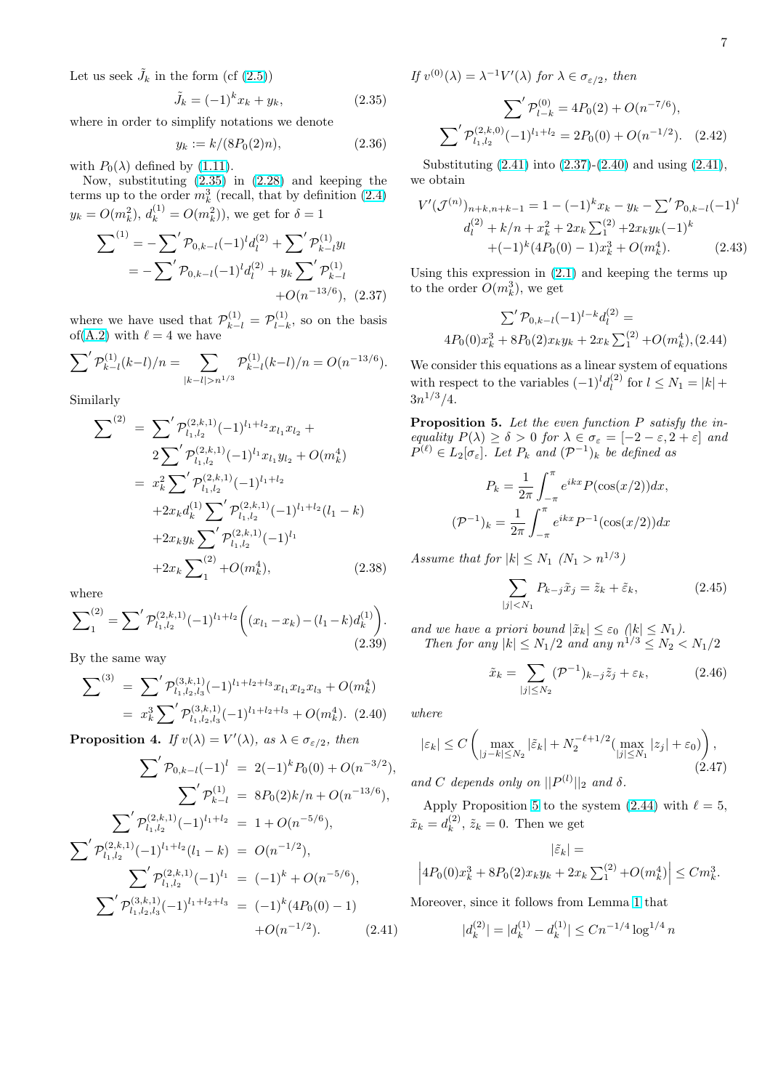<span id="page-6-0"></span>Let us seek  $\tilde{J}_k$  in the form (cf  $(2.5)$ )

$$
\tilde{J}_k = (-1)^k x_k + y_k, \tag{2.35}
$$

where in order to simplify notations we denote

$$
y_k := k/(8P_0(2)n), \tag{2.36}
$$

with  $P_0(\lambda)$  defined by (1.11).

Now, substituting (2.35) in (2.28) and keeping the terms up to the order  $m_k^3$  (recall, that by definition (2.4)  $y_k = O(m_k^2), d_k^{(1)} = O(m_k^2)$ , we get for  $\delta = 1$ 

$$
\sum^{(1)} = -\sum' \mathcal{P}_{0,k-l}(-1)^l d_l^{(2)} + \sum' \mathcal{P}_{k-l}^{(1)} y_l
$$
  
= 
$$
-\sum' \mathcal{P}_{0,k-l}(-1)^l d_l^{(2)} + y_k \sum' \mathcal{P}_{k-l}^{(1)} + O(n^{-13/6}),
$$
 (2.37)

where we have used that  $\mathcal{P}_{k-l}^{(1)} = \mathcal{P}_{l-l}^{(1)}$  $\sum_{l-k}^{(1)}$ , so on the basis of(A.2) with  $\ell = 4$  we have

$$
\sum' \mathcal{P}_{k-l}^{(1)}(k-l)/n = \sum_{|k-l|>n^{1/3}} \mathcal{P}_{k-l}^{(1)}(k-l)/n = O(n^{-13/6}).
$$

Si[milar](#page-18-0)ly

$$
\sum^{(2)} = \sum' \mathcal{P}_{l_1, l_2}^{(2, k, 1)} (-1)^{l_1 + l_2} x_{l_1} x_{l_2} +
$$
  
\n
$$
= 2 \sum' \mathcal{P}_{l_1, l_2}^{(2, k, 1)} (-1)^{l_1} x_{l_1} y_{l_2} + O(m_k^4)
$$
  
\n
$$
= x_k^2 \sum' \mathcal{P}_{l_1, l_2}^{(2, k, 1)} (-1)^{l_1 + l_2}
$$
  
\n
$$
+ 2x_k d_k^{(1)} \sum' \mathcal{P}_{l_1, l_2}^{(2, k, 1)} (-1)^{l_1 + l_2} (l_1 - k)
$$
  
\n
$$
+ 2x_k y_k \sum' \mathcal{P}_{l_1, l_2}^{(2, k, 1)} (-1)^{l_1}
$$
  
\n
$$
+ 2x_k \sum'_{1} + O(m_k^4), \qquad (2.38)
$$

where

$$
\sum_{1}^{(2)} = \sum' \mathcal{P}_{l_1, l_2}^{(2, k, 1)} (-1)^{l_1 + l_2} \left( (x_{l_1} - x_k) - (l_1 - k) d_k^{(1)} \right). \tag{2.39}
$$

By the same way

$$
\sum^{(3)} = \sum' \mathcal{P}_{l_1, l_2, l_3}^{(3,k,1)} (-1)^{l_1 + l_2 + l_3} x_{l_1} x_{l_2} x_{l_3} + O(m_k^4)
$$
  
=  $x_k^3 \sum' \mathcal{P}_{l_1, l_2, l_3}^{(3,k,1)} (-1)^{l_1 + l_2 + l_3} + O(m_k^4)$ . (2.40)

**Proposition 4.** If  $v(\lambda) = V'(\lambda)$ , as  $\lambda \in \sigma_{\varepsilon/2}$ , then

$$
\sum' \mathcal{P}_{0,k-l}(-1)^l = 2(-1)^k P_0(0) + O(n^{-3/2}),
$$
  

$$
\sum' \mathcal{P}_{k-l}^{(1)} = 8P_0(2)k/n + O(n^{-13/6}),
$$
  

$$
\sum' \mathcal{P}_{l_1,l_2}^{(2,k,1)}(-1)^{l_1+l_2} = 1 + O(n^{-5/6}),
$$
  

$$
\sum' \mathcal{P}_{l_1,l_2}^{(2,k,1)}(-1)^{l_1+l_2}(l_1-k) = O(n^{-1/2}),
$$
  

$$
\sum' \mathcal{P}_{l_1,l_2,l_3}^{(2,k,1)}(-1)^{l_1} = (-1)^k + O(n^{-5/6}),
$$
  

$$
\sum' \mathcal{P}_{l_1,l_2,l_3}^{(3,k,1)}(-1)^{l_1+l_2+l_3} = (-1)^k (4P_0(0) - 1)
$$
  
+
$$
O(n^{-1/2}).
$$
 (2.41)

If  $v^{(0)}(\lambda) = \lambda^{-1} V'(\lambda)$  for  $\lambda \in \sigma_{\varepsilon/2}$ , then

$$
\sum' \mathcal{P}_{l-k}^{(0)} = 4P_0(2) + O(n^{-7/6}),
$$
  

$$
\sum' \mathcal{P}_{l_1, l_2}^{(2,k,0)}(-1)^{l_1+l_2} = 2P_0(0) + O(n^{-1/2}).
$$
 (2.42)

Substituting (2.41) into (2.37)-(2.40) and using (2.41), we obtain

$$
V'(\mathcal{J}^{(n)})_{n+k,n+k-1} = 1 - (-1)^k x_k - y_k - \sum' \mathcal{P}_{0,k-l}(-1)^l
$$
  

$$
d_l^{(2)} + k/n + x_k^2 + 2x_k \sum_1^{(2)} + 2x_k y_k(-1)^k
$$
  

$$
+ (-1)^k (4P_0(0) - 1)x_k^3 + O(m_k^4).
$$
 (2.43)

Using this expression in (2.1) and keeping the terms up to the order  $O(m_k^3)$ , we get

$$
\sum' \mathcal{P}_{0,k-l}(-1)^{l-k}d_l^{(2)} =
$$
  

$$
4P_0(0)x_k^3 + 8P_0(2)x_ky_k + 2x_k\sum_1^{(2)} + O(m_k^4), (2.44)
$$

We consider this equations as a linear system of equations with respect to the variables  $(-1)^l d_l^{(2)}$  $\int_{l}^{(2)}$  for  $l \leq N_1 = |k| +$  $3n^{1/3}/4.$ 

Proposition 5. Let the even function P satisfy the inequality  $P(\lambda) \ge \delta > 0$  for  $\lambda \in \sigma_{\varepsilon} = [-2 - \varepsilon, 2 + \varepsilon]$  and  $P^{(\ell)} \in L_2[\sigma_{\varepsilon}]$ . Let  $P_k$  and  $({\mathcal{P}}^{-1})_k$  be defined as

$$
P_k = \frac{1}{2\pi} \int_{-\pi}^{\pi} e^{ikx} P(\cos(x/2)) dx,
$$

$$
(\mathcal{P}^{-1})_k = \frac{1}{2\pi} \int_{-\pi}^{\pi} e^{ikx} P^{-1}(\cos(x/2)) dx
$$

Assume that for  $|k| \leq N_1$   $(N_1 > n^{1/3})$ 

$$
\sum_{|j| < N_1} P_{k-j}\tilde{x}_j = \tilde{z}_k + \tilde{\varepsilon}_k,\tag{2.45}
$$

and we have a priori bound  $|\tilde{x}_k| \leq \varepsilon_0$   $(|k| \leq N_1)$ . Then for any  $|k| \le N_1/2$  and any  $n^{1/3} \le N_2 < N_1/2$ 

$$
\tilde{x}_k = \sum_{|j| \le N_2} (\mathcal{P}^{-1})_{k-j} \tilde{z}_j + \varepsilon_k, \tag{2.46}
$$

where

$$
|\varepsilon_k| \le C \left( \max_{|j-k| \le N_2} |\tilde{\varepsilon}_k| + N_2^{-\ell+1/2} \left( \max_{|j| \le N_1} |z_j| + \varepsilon_0 \right) \right),\tag{2.47}
$$

and C depends only on  $||P^{(l)}||_2$  and  $\delta$ .

Apply Proposition 5 to the system  $(2.44)$  with  $\ell = 5$ ,  $\tilde{x}_k = d_k^{(2)}$  $\tilde{\mathbf{z}}_k^{(2)}$ ,  $\tilde{\mathbf{z}}_k = 0$ . Then we get

$$
|\tilde{\varepsilon}_k| =
$$
  

$$
\left| 4P_0(0)x_k^3 + 8P_0(2)x_ky_k + 2x_k\sum_{1}^{(2)} + O(m_k^4) \right| \leq Cm_k^3.
$$

Moreover, since it follows from Lemma 1 that

$$
|d_k^{(2)}| = |d_k^{(1)} - d_k^{(1)}| \le Cn^{-1/4} \log^{1/4} n
$$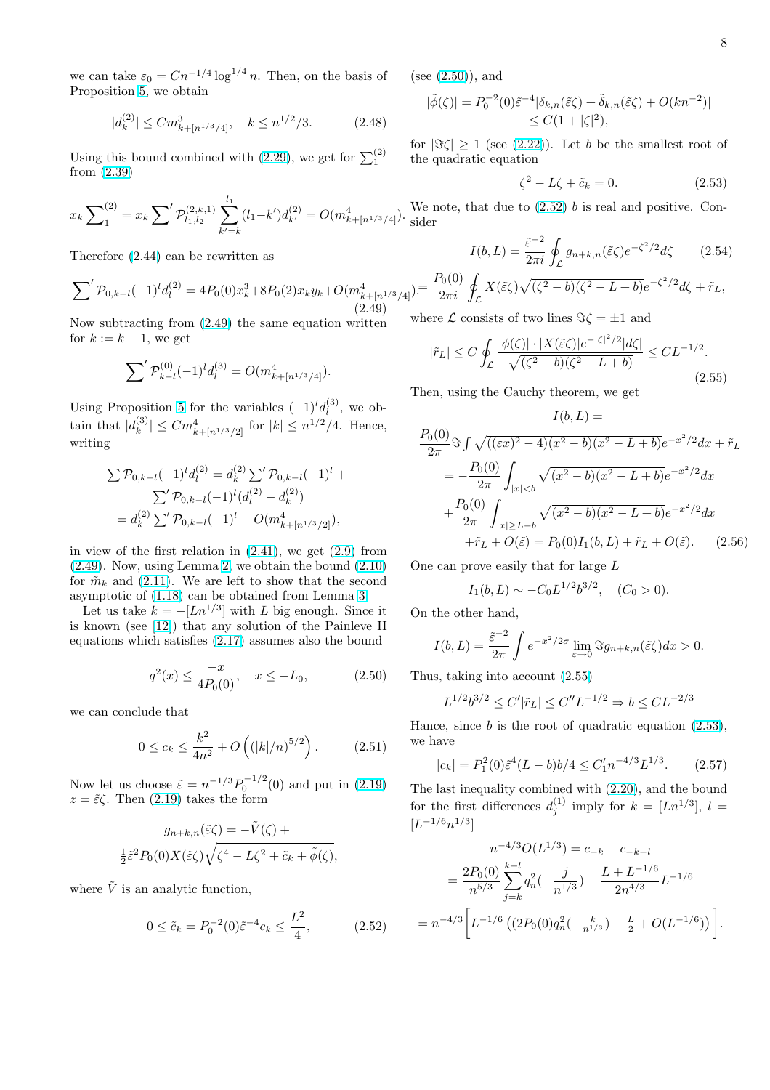we can take  $\varepsilon_0 = Cn^{-1/4} \log^{1/4} n$ . Then, on the basis of Proposition 5, we obtain

$$
|d_k^{(2)}| \le C m_{k + [n^{1/3}/4]}^3, \quad k \le n^{1/2}/3. \tag{2.48}
$$

Usingthis b[ou](#page-6-0)nd combined with (2.29), we get for  $\sum_1^{(2)}$ from (2.39)

$$
x_k \sum_{1}^{(2)} = x_k \sum' \mathcal{P}_{l_1, l_2}^{(2, k, 1)} \sum_{k'=k}^{l_1} (l_1 - k') d_{k'}^{(2)} = O(m_{k+[n^{1/3}/4]}^4).
$$

Therefore (2.44) can be rewritten as

$$
\sum' \mathcal{P}_{0,k-l}(-1)^l d_l^{(2)} = 4P_0(0)x_k^3 + 8P_0(2)x_k y_k + O(m_{k+[n^{1/3}/4]}^4) = \frac{P_0(0)}{2\pi i} \mathcal{J}
$$
\n(2.49)

Now subtr[acting](#page-6-0) from (2.49) the same equation written for  $k := k - 1$ , we get

$$
\sum' \mathcal{P}_{k-l}^{(0)}(-1)^l d_l^{(3)} = O(m_{k+[n^{1/3}/4]}^4).
$$

Using Proposition 5 for the variables  $(-1)^l d_l^{(3)}$  $\mathfrak{b}^{(3)}_l$ , we obtain that  $|d_k^{(3)}|$  $|k^{(3)}| \leq C m_{k+[n^{1/3}/2]}^4$  for  $|k| \leq n^{1/2}/4$ . Hence, writing

$$
\sum \mathcal{P}_{0,k-l}(-1)^l d_l^{(2)} = d_k^{(2)} \sum' \mathcal{P}_{0,k-l}(-1)^l + \sum' \mathcal{P}_{0,k-l}(-1)^l (d_l^{(2)} - d_k^{(2)})
$$
  
=  $d_k^{(2)} \sum' \mathcal{P}_{0,k-l}(-1)^l + O(m_{k+[n^{1/3}/2]}^4),$ 

in view of the first relation in  $(2.41)$ , we get  $(2.9)$  from  $(2.49)$ . Now, using Lemma 2, we obtain the bound  $(2.10)$ for  $\tilde{m}_k$  and (2.11). We are left to show that the second asymptotic of (1.18) can be obtained from Lemma 3.

[L](#page-6-0)et us take  $k = -[Ln^{1/3}]$  with L big enoug[h. Si](#page-3-0)nce it is known (see [12]) that a[ny](#page-3-0) solution of the Painl[eve II](#page-3-0) equations w[hich s](#page-3-0)atisfies (2.17) assumes also the bound

$$
q^{2}(x) \le \frac{-x}{4P_{0}(0)}, \quad x \le -L_{0}, \tag{2.50}
$$

we can conclude that

$$
0 \le c_k \le \frac{k^2}{4n^2} + O\left((|k|/n)^{5/2}\right). \tag{2.51}
$$

Now let us choose  $\tilde{\varepsilon} = n^{-1/3} P_0^{-1/2}(0)$  and put in (2.19)  $z = \tilde{\varepsilon} \zeta$ . Then (2.19) takes the form

$$
g_{n+k,n}(\tilde{\varepsilon}\zeta) = -\tilde{V}(\zeta) +
$$
  

$$
\frac{1}{2}\tilde{\varepsilon}^2 P_0(0)X(\tilde{\varepsilon}\zeta)\sqrt{\zeta^4 - L\zeta^2 + \tilde{c}_k + \tilde{\phi}(\zeta)},
$$

where  $\tilde{V}$  is an analytic function,

$$
0 \le \tilde{c}_k = P_0^{-2}(0)\tilde{\varepsilon}^{-4}c_k \le \frac{L^2}{4}, \quad (2.52)
$$

(see (2.50)), and

$$
|\tilde{\phi}(\zeta)| = P_0^{-2}(0)\tilde{\varepsilon}^{-4}|\delta_{k,n}(\tilde{\varepsilon}\zeta) + \tilde{\delta}_{k,n}(\tilde{\varepsilon}\zeta) + O(kn^{-2})|
$$
  

$$
\leq C(1+|\zeta|^2),
$$

for  $|\Im \zeta| \ge 1$  (see (2.22)). Let b be the smallest root of the quadratic equation

$$
\zeta^2 - L\zeta + \tilde{c}_k = 0. \tag{2.53}
$$

We note, that due to  $(2.52)$  b is real and positive. Consider

$$
I(b, L) = \frac{\tilde{\varepsilon}^{-2}}{2\pi i} \oint_{\mathcal{L}} g_{n+k,n}(\tilde{\varepsilon}\zeta) e^{-\zeta^2/2} d\zeta
$$
 (2.54)

$$
E_{[1]}^{(1)} = \frac{P_0(0)}{2\pi i} \oint_{\mathcal{L}} X(\tilde{\varepsilon}\zeta) \sqrt{(\zeta^2 - b)(\zeta^2 - L + b)} e^{-\zeta^2/2} d\zeta + \tilde{r}_L,
$$

where  $\mathcal L$  consists of two lines  $\Im \zeta = \pm 1$  and

$$
|\tilde{r}_L| \le C \oint_{\mathcal{L}} \frac{|\phi(\zeta)| \cdot |X(\tilde{\varepsilon}\zeta)|e^{-|\zeta|^2/2}|d\zeta|}{\sqrt{(\zeta^2 - b)(\zeta^2 - L + b)}} \le CL^{-1/2}.
$$
\n(2.55)

 $T(T, T)$ 

Then, using the Cauchy theorem, we get

$$
I(b, L) =
$$
  
\n
$$
\frac{P_0(0)}{2\pi} \Im \int \sqrt{((\varepsilon x)^2 - 4)(x^2 - b)(x^2 - L + b)} e^{-x^2/2} dx + \tilde{r}_L
$$
  
\n
$$
= -\frac{P_0(0)}{2\pi} \int_{|x| < b} \sqrt{(x^2 - b)(x^2 - L + b)} e^{-x^2/2} dx
$$
  
\n
$$
+ \frac{P_0(0)}{2\pi} \int_{|x| \ge L - b} \sqrt{(x^2 - b)(x^2 - L + b)} e^{-x^2/2} dx
$$
  
\n
$$
+ \tilde{r}_L + O(\tilde{\varepsilon}) = P_0(0) I_1(b, L) + \tilde{r}_L + O(\tilde{\varepsilon}).
$$
 (2.56)

One can prove easily that for large L

$$
I_1(b, L) \sim -C_0 L^{1/2} b^{3/2}, \quad (C_0 > 0).
$$

On the other hand,

$$
I(b,L) = \frac{\tilde{\varepsilon}^{-2}}{2\pi} \int e^{-x^2/2\sigma} \lim_{\varepsilon \to 0} \Im g_{n+k,n}(\tilde{\varepsilon}\zeta) dx > 0.
$$

Thus, taking into account (2.55)

$$
L^{1/2}b^{3/2} \le C'|\tilde{r}_L| \le C''L^{-1/2} \Rightarrow b \le CL^{-2/3}
$$

Hance, since  $b$  is the root of quadratic equation  $(2.53)$ , we have

$$
|c_k| = P_1^2(0)\tilde{\varepsilon}^4(L-b)b/4 \le C_1' n^{-4/3} L^{1/3}.
$$
 (2.57)

The last inequality combined with (2.20), and the bound for the first differences  $d_j^{(1)}$  imply for  $k = [Ln^{1/3}], l =$  $[L^{-1/6}n^{1/3}]$ 

$$
n^{-4/3}O(L^{1/3}) = c_{-k} - c_{-k-l}
$$
  
= 
$$
\frac{2P_0(0)}{n^{5/3}} \sum_{j=k}^{k+l} q_n^2(-\frac{j}{n^{1/3}}) - \frac{L + L^{-1/6}}{2n^{4/3}} L^{-1/6}
$$
  
= 
$$
n^{-4/3} \bigg[ L^{-1/6} \left( (2P_0(0)q_n^2(-\frac{k}{n^{1/3}}) - \frac{L}{2} + O(L^{-1/6}) \right) \bigg].
$$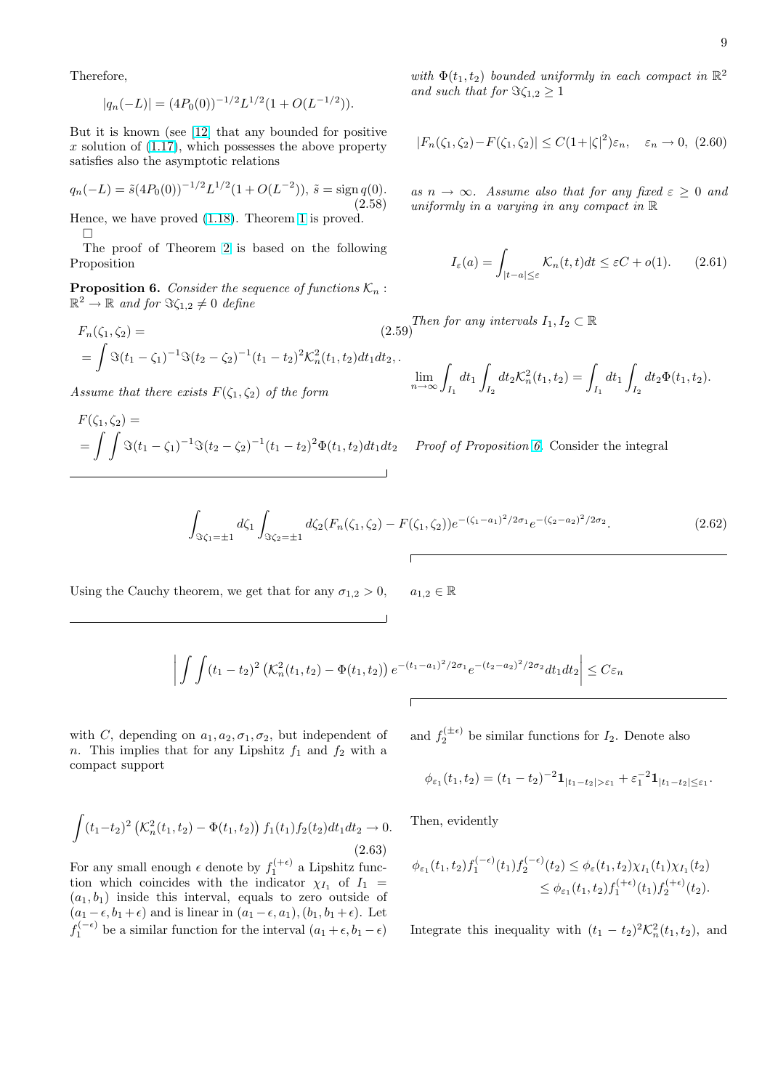<span id="page-8-0"></span>Therefore,

$$
|q_n(-L)| = (4P_0(0))^{-1/2}L^{1/2}(1 + O(L^{-1/2})).
$$

But it is known (see [12] that any bounded for positive x solution of  $(1.17)$ , which possesses the above property satisfies also the asymptotic relations

$$
q_n(-L) = \tilde{s}(4P_0(0))^{-1/2}L^{1/2}(1 + O(L^{-2})), \, \tilde{s} = \text{sign } q(0).
$$
\n(2.58)

Hence, we ha[ve pro](#page-1-0)ved (1.18). Theorem 1 is proved.  $\Box$ 

The proof of Theorem 2 is based on the following Proposition

**Proposition 6.** Consid[er the](#page-2-0) sequence [of](#page-1-0) functions  $\mathcal{K}_n$ :  $\mathbb{R}^2 \to \mathbb{R}$  and for  $\Im \zeta_{1,2} \neq 0$  [de](#page-2-0)fine

$$
F_n(\zeta_1, \zeta_2) =
$$
\n
$$
= \int \Im(t_1 - \zeta_1)^{-1} \Im(t_2 - \zeta_2)^{-1} (t_1 - t_2)^2 \mathcal{K}_n^2(t_1, t_2) dt_1 dt_2.
$$
\n(2.59)

Assume that there exists  $F(\zeta_1, \zeta_2)$  of the form

$$
F(\zeta_1, \zeta_2) =
$$
  
= 
$$
\int \int \Im(t_1 - \zeta_1)^{-1} \Im(t_2 - \zeta_2)^{-1} (t_1 - t_2)^2 \Phi(t_1, t_2) dt_1 dt_2
$$

with  $\Phi(t_1, t_2)$  bounded uniformly in each compact in  $\mathbb{R}^2$ and such that for  $\Im \zeta_{1,2} \geq 1$ 

$$
|F_n(\zeta_1, \zeta_2) - F(\zeta_1, \zeta_2)| \le C(1 + |\zeta|^2) \varepsilon_n, \quad \varepsilon_n \to 0, \ (2.60)
$$

as  $n \to \infty$ . Assume also that for any fixed  $\varepsilon \geq 0$  and uniformly in a varying in any compact in  $\mathbb R$ 

$$
I_{\varepsilon}(a) = \int_{|t-a| \le \varepsilon} \mathcal{K}_n(t,t)dt \le \varepsilon C + o(1). \qquad (2.61)
$$

Then for any intervals  $I_1, I_2 \subset \mathbb{R}$ 

$$
\lim_{n \to \infty} \int_{I_1} dt_1 \int_{I_2} dt_2 \mathcal{K}_n^2(t_1, t_2) = \int_{I_1} dt_1 \int_{I_2} dt_2 \Phi(t_1, t_2).
$$

Proof of Proposition 6. Consider the integral

$$
\int_{\Im\zeta_1=\pm 1} d\zeta_1 \int_{\Im\zeta_2=\pm 1} d\zeta_2 (F_n(\zeta_1,\zeta_2) - F(\zeta_1,\zeta_2)) e^{-(\zeta_1-a_1)^2/2\sigma_1} e^{-(\zeta_2-a_2)^2/2\sigma_2}.
$$
\n(2.62)

Using the Cauchy theorem, we get that for any  $\sigma_{1,2} > 0$ ,  $a_{1,2} \in \mathbb{R}$ 

$$
\left| \int \int (t_1 - t_2)^2 \left( K_n^2(t_1, t_2) - \Phi(t_1, t_2) \right) e^{-(t_1 - a_1)^2/2\sigma_1} e^{-(t_2 - a_2)^2/2\sigma_2} dt_1 dt_2 \right| \leq C\varepsilon_n
$$

with C, depending on  $a_1, a_2, \sigma_1, \sigma_2$ , but independent of n. This implies that for any Lipshitz  $f_1$  and  $f_2$  with a compact support

and  $f_2^{(\pm\epsilon)}$  be similar functions for  $I_2$ . Denote also

$$
\phi_{\varepsilon_1}(t_1, t_2) = (t_1 - t_2)^{-2} \mathbf{1}_{|t_1 - t_2| > \varepsilon_1} + \varepsilon_1^{-2} \mathbf{1}_{|t_1 - t_2| \le \varepsilon_1}.
$$

Then, evidently

$$
\phi_{\varepsilon_1}(t_1, t_2) f_1^{(-\epsilon)}(t_1) f_2^{(-\epsilon)}(t_2) \leq \phi_{\varepsilon}(t_1, t_2) \chi_{I_1}(t_1) \chi_{I_1}(t_2) \leq \phi_{\varepsilon_1}(t_1, t_2) f_1^{(+\epsilon)}(t_1) f_2^{(+\epsilon)}(t_2).
$$

Integrate this inequality with  $(t_1 - t_2)^2 \mathcal{K}_n^2(t_1, t_2)$ , and

 $(t_1-t_2)^2$  (  $\mathcal{K}_n^2(t_1, t_2) - \Phi(t_1, t_2)$  $\mathbf{r}$  $f_1(t_1)f_2(t_2)dt_1dt_2 \to 0.$ (2.63)

For any small enough  $\epsilon$  denote by  $f_1^{(+\epsilon)}$  a Lipshitz function which coincides with the indicator  $\chi_{I_1}$  of  $I_1$  =  $(a_1, b_1)$  inside this interval, equals to zero outside of  $(a_1 - \epsilon, b_1 + \epsilon)$  and is linear in  $(a_1 - \epsilon, a_1), (b_1, b_1 + \epsilon)$ . Let  $f_1^{(-\epsilon)}$  be a similar function for the interval  $(a_1 + \epsilon, b_1 - \epsilon)$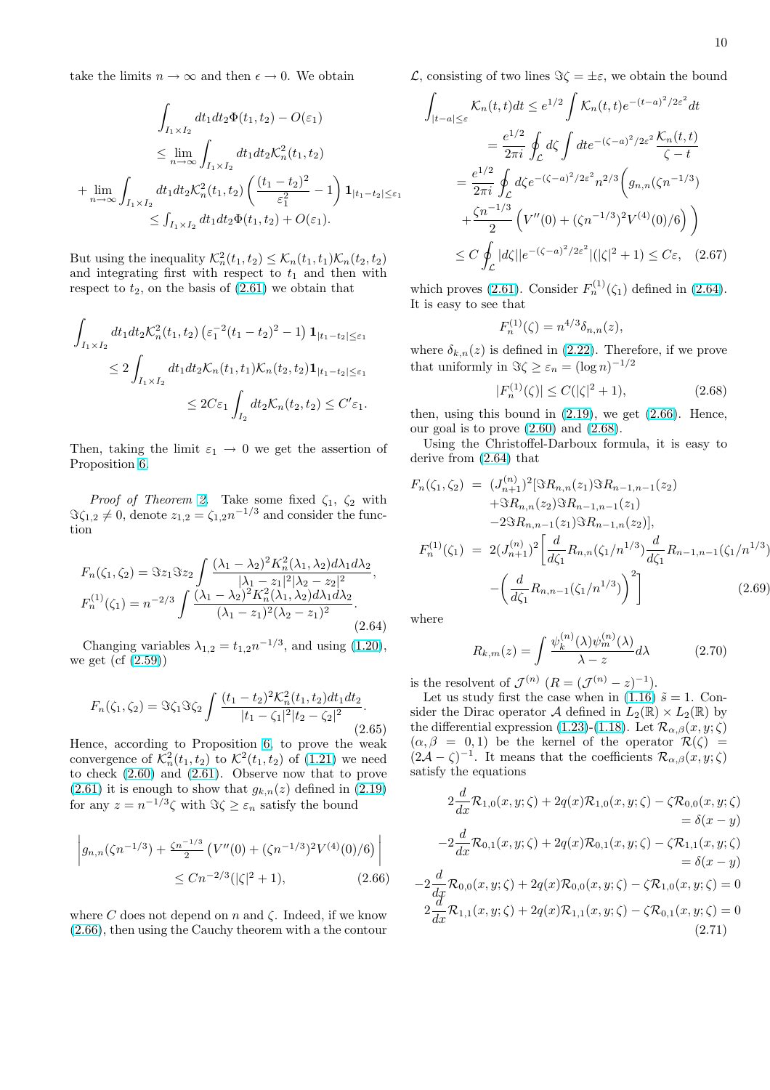<span id="page-9-0"></span>take the limits  $n \to \infty$  and then  $\epsilon \to 0$ . We obtain

$$
\int_{I_1 \times I_2} dt_1 dt_2 \Phi(t_1, t_2) - O(\varepsilon_1)
$$
\n
$$
\leq \lim_{n \to \infty} \int_{I_1 \times I_2} dt_1 dt_2 \mathcal{K}_n^2(t_1, t_2)
$$
\n
$$
+ \lim_{n \to \infty} \int_{I_1 \times I_2} dt_1 dt_2 \mathcal{K}_n^2(t_1, t_2) \left( \frac{(t_1 - t_2)^2}{\varepsilon_1^2} - 1 \right) \mathbf{1}_{|t_1 - t_2| \leq \varepsilon_1}
$$
\n
$$
\leq \int_{I_1 \times I_2} dt_1 dt_2 \Phi(t_1, t_2) + O(\varepsilon_1).
$$

But using the inequality  $\mathcal{K}_n^2(t_1, t_2) \leq \mathcal{K}_n(t_1, t_1)\mathcal{K}_n(t_2, t_2)$ and integrating first with respect to  $t_1$  and then with respect to  $t_2$ , on the basis of  $(2.61)$  we obtain that

$$
\int_{I_1 \times I_2} dt_1 dt_2 \mathcal{K}_n^2(t_1, t_2) \left( \varepsilon_1^{-2} (t_1 - t_2)^2 - 1 \right) \mathbf{1}_{|t_1 - t_2| \le \varepsilon_1}
$$
\n
$$
\le 2 \int_{I_1 \times I_2} dt_1 dt_2 \mathcal{K}_n(t_1, t_1) \mathcal{K}_n(t_2, t_2) \mathbf{1}_{|t_1 - t_2| \le \varepsilon_1}
$$
\n
$$
\le 2C\varepsilon_1 \int_{I_2} dt_2 \mathcal{K}_n(t_2, t_2) \le C' \varepsilon_1.
$$

Then, taking the limit  $\varepsilon_1 \to 0$  we get the assertion of Proposition 6.

*Proof of Theorem 2.* Take some fixed  $\zeta_1$ ,  $\zeta_2$  with  $\Im \zeta_{1,2} \neq 0$ , denote  $z_{1,2} = \zeta_{1,2} n^{-1/3}$  and consider the function

$$
F_n(\zeta_1, \zeta_2) = \Im z_1 \Im z_2 \int \frac{(\lambda_1 - \lambda_2)^2 K_n^2(\lambda_1, \lambda_2) d\lambda_1 d\lambda_2}{|\lambda_1 - z_1|^2 |\lambda_2 - z_2|^2},
$$
  
\n
$$
F_n^{(1)}(\zeta_1) = n^{-2/3} \int \frac{(\lambda_1 - \lambda_2)^2 K_n^2(\lambda_1, \lambda_2) d\lambda_1 d\lambda_2}{(\lambda_1 - z_1)^2 (\lambda_2 - z_1)^2}.
$$
\n(2.64)

Changing variables  $\lambda_{1,2} = t_{1,2} n^{-1/3}$ , and using (1.20), we get  $(cf (2.59))$ 

$$
F_n(\zeta_1, \zeta_2) = \Im \zeta_1 \Im \zeta_2 \int \frac{(t_1 - t_2)^2 \mathcal{K}_n^2(t_1, t_2) dt_1 dt_2}{|t_1 - \zeta_1|^2 |t_2 - \zeta_2|^2}.
$$
\n(2.65)

Hence, according to Proposition 6, to prove the weak convergence of  $\mathcal{K}_n^2(t_1, t_2)$  to  $\mathcal{K}^2(t_1, t_2)$  of  $(1.21)$  we need to check (2.60) and (2.61). Observe now that to prove  $(2.61)$  it is enough to show that  $g_{k,n}(z)$  defined in  $(2.19)$ for any  $z = n^{-1/3}\zeta$  with  $\Im \zeta \geq \varepsilon_n$  [sa](#page-8-0)tisfy the bound

$$
\left| g_{n,n}(\zeta n^{-1/3}) + \frac{\zeta n^{-1/3}}{2} \left( V''(0) + (\zeta n^{-1/3})^2 V^{(4)}(0)/6 \right) \right|
$$
  
 
$$
\le C n^{-2/3} (|\zeta|^2 + 1), \qquad (2.66)
$$

where C does not depend on n and  $\zeta$ . Indeed, if we know (2.66), then using the Cauchy theorem with a the contour L, consisting of two lines  $\Im \zeta = \pm \varepsilon$ , we obtain the bound

$$
\int_{|t-a| \leq \varepsilon} \mathcal{K}_n(t,t)dt \leq e^{1/2} \int \mathcal{K}_n(t,t) e^{-(t-a)^2/2\varepsilon^2} dt
$$
  
\n
$$
= \frac{e^{1/2}}{2\pi i} \oint_{\mathcal{L}} d\zeta \int dt e^{-(\zeta-a)^2/2\varepsilon^2} \frac{\mathcal{K}_n(t,t)}{\zeta-t}
$$
  
\n
$$
= \frac{e^{1/2}}{2\pi i} \oint_{\mathcal{L}} d\zeta e^{-(\zeta-a)^2/2\varepsilon^2} n^{2/3} \left( g_{n,n}(\zeta n^{-1/3}) + \frac{\zeta n^{-1/3}}{2} \left( V''(0) + (\zeta n^{-1/3})^2 V^{(4)}(0)/6 \right) \right)
$$
  
\n
$$
\leq C \oint_{\mathcal{L}} |d\zeta| |e^{-(\zeta-a)^2/2\varepsilon^2}|(|\zeta|^2+1) \leq C\varepsilon, \quad (2.67)
$$

which proves (2.61). Consider  $F_n^{(1)}(\zeta_1)$  defined in (2.64). It is easy to see that

$$
F_n^{(1)}(\zeta) = n^{4/3} \delta_{n,n}(z),
$$

where  $\delta_{k,n}(z)$  [is defi](#page-8-0)ned in (2.22). Therefore, if we prove that uniformly in  $\Im \zeta \geq \varepsilon_n = (\log n)^{-1/2}$ 

$$
|F_n^{(1)}(\zeta)| \le C(|\zeta|^2 + 1),\tag{2.68}
$$

then, using this bound in  $(2.19)$ , we get  $(2.66)$ . Hence, our goal is to prove (2.60) and (2.68).

Using the Christoffel-Darboux formula, it is easy to derive from (2.64) that

$$
F_n(\zeta_1, \zeta_2) = (J_{n+1}^{(n)})^2 [\Im R_{n,n}(z_1) \Im R_{n-1,n-1}(z_2) + \Im R_{n,n}(z_2) \Im R_{n-1,n-1}(z_1) - 2 \Im R_{n,n-1}(z_1) \Im R_{n-1,n}(z_2)],
$$
  

$$
F_n^{(1)}(\zeta_1) = 2(J_{n+1}^{(n)})^2 \left[ \frac{d}{d\zeta_1} R_{n,n}(\zeta_1/n^{1/3}) \frac{d}{d\zeta_1} R_{n-1,n-1}(\zeta_1/n^{1/3}) - \left( \frac{d}{d\zeta_1} R_{n,n-1}(\zeta_1/n^{1/3}) \right)^2 \right]
$$
(2.69)

where

$$
R_{k,m}(z) = \int \frac{\psi_k^{(n)}(\lambda)\psi_m^{(n)}(\lambda)}{\lambda - z} d\lambda \tag{2.70}
$$

is the resolvent of  $\mathcal{J}^{(n)}$   $(R = (\mathcal{J}^{(n)} - z)^{-1}).$ 

Let us study first the case when in (1.16)  $\tilde{s} = 1$ . Consider the Dirac operator A defined in  $L_2(\mathbb{R}) \times L_2(\mathbb{R})$  by the differential expression (1.23)-(1.18). Let  $\mathcal{R}_{\alpha,\beta}(x,y;\zeta)$  $(\alpha, \beta = 0, 1)$  be the kernel of the operator  $\mathcal{R}(\zeta) =$  $(2\mathcal{A} - \zeta)^{-1}$ . It means that the coeffic[ients](#page-1-0)  $\mathcal{R}_{\alpha,\beta}(x,y;\zeta)$ satisfy the equations

$$
2\frac{d}{dx}\mathcal{R}_{1,0}(x,y;\zeta) + 2q(x)\mathcal{R}_{1,0}(x,y;\zeta) - \zeta \mathcal{R}_{0,0}(x,y;\zeta) \n= \delta(x-y) \n-2\frac{d}{dx}\mathcal{R}_{0,1}(x,y;\zeta) + 2q(x)\mathcal{R}_{0,1}(x,y;\zeta) - \zeta \mathcal{R}_{1,1}(x,y;\zeta) \n= \delta(x-y) \n-2\frac{d}{dx}\mathcal{R}_{0,0}(x,y;\zeta) + 2q(x)\mathcal{R}_{0,0}(x,y;\zeta) - \zeta \mathcal{R}_{1,0}(x,y;\zeta) = 0 \n2\frac{d}{dx}\mathcal{R}_{1,1}(x,y;\zeta) + 2q(x)\mathcal{R}_{1,1}(x,y;\zeta) - \zeta \mathcal{R}_{0,1}(x,y;\zeta) = 0
$$
\n(2.71)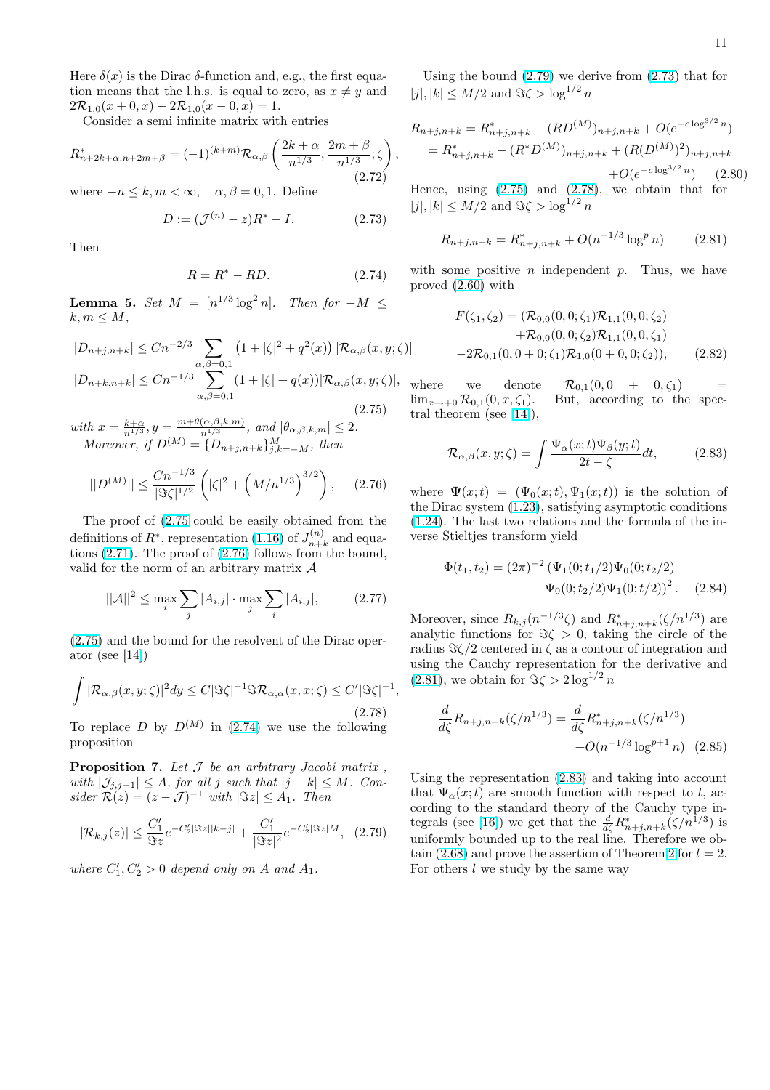<span id="page-10-0"></span>Here  $\delta(x)$  is the Dirac  $\delta$ -function and, e.g., the first equation means that the l.h.s. is equal to zero, as  $x \neq y$  and  $2\mathcal{R}_{1,0}(x+0,x) - 2\mathcal{R}_{1,0}(x-0,x) = 1.$ 

Consider a semi infinite matrix with entries

$$
R_{n+2k+\alpha,n+2m+\beta}^{*} = (-1)^{(k+m)} \mathcal{R}_{\alpha,\beta} \left( \frac{2k+\alpha}{n^{1/3}}, \frac{2m+\beta}{n^{1/3}}; \zeta \right),
$$
\n(2.72)

where  $-n \leq k, m < \infty, \quad \alpha, \beta = 0, 1$ . Define

$$
D := (\mathcal{J}^{(n)} - z)R^* - I.
$$
 (2.73)

Then

$$
R = R^* - RD.
$$
 (2.74)

**Lemma 5.** Set  $M = [n^{1/3} \log^2 n]$ . Then for  $-M \leq$  $k, m \leq M$ ,

$$
|D_{n+j,n+k}| \le Cn^{-2/3} \sum_{\alpha,\beta=0,1} (1+|\zeta|^2 + q^2(x)) |\mathcal{R}_{\alpha,\beta}(x,y;\zeta)|
$$
  

$$
|D_{n+k,n+k}| \le Cn^{-1/3} \sum_{\alpha,\beta=0,1}^{2\alpha,\beta=0,1} (1+|\zeta| + q(x)) |\mathcal{R}_{\alpha,\beta}(x,y;\zeta)|, \qquad \qquad \frac{1}{(2.75)}
$$

with  $x = \frac{k+\alpha}{n^{1/3}}, y = \frac{m+\theta(\alpha,\beta,k,m)}{n^{1/3}}$  $\frac{(\alpha,\beta,\kappa,m)}{n^{1/3}},$  and  $|\theta_{\alpha,\beta,k,m}| \leq 2.$ Moreover, if  $D^{(M)} = \{D_{n+j,n+k}\}_{j,k=-M}^{M}$ , then

$$
||D^{(M)}|| \le \frac{Cn^{-1/3}}{|\Im \zeta|^{1/2}} \left( |\zeta|^2 + \left( M/n^{1/3} \right)^{3/2} \right), \quad (2.76)
$$

The proof of (2.75 could be easily obtained from the definitions of  $R^*$ , representation (1.16) of  $J_{n+}^{(n)}$  $n+k$  and equations (2.71). The proof of (2.76) follows from the bound, valid for the norm of an arbitrary matrix  $A$ 

$$
||A||^2 \le \max_{i} \sum_{j} |A_{i,j}| \cdot \max_{j} \sum_{i} |A_{i,j}|,
$$
 (2.77)

(2.75) and the bound for the resolvent of the Dirac operator (see [14])

$$
\int |\mathcal{R}_{\alpha,\beta}(x,y;\zeta)|^2 dy \leq C |\Im \zeta|^{-1} \Im \mathcal{R}_{\alpha,\alpha}(x,x;\zeta) \leq C' |\Im \zeta|^{-1},
$$
\n(2.78)

To r[e](#page-21-0)place D by  $D^{(M)}$  in (2.74) we use the following proposition

**Proposition 7.** Let  $J$  be an arbitrary Jacobi matrix, with  $|\mathcal{J}_{j,j+1}| \leq A$ , for all j such that  $|j - k| \leq M$ . Consider  $\mathcal{R}(z) = (z - \mathcal{J})^{-1}$  with  $|\Im z| \leq A_1$ . Then

$$
|\mathcal{R}_{k,j}(z)| \le \frac{C_1'}{\Im z} e^{-C_2' |\Im z||k-j|} + \frac{C_1'}{|\Im z|^2} e^{-C_2' |\Im z|M}, \tag{2.79}
$$

where  $C'_1, C'_2 > 0$  depend only on A and  $A_1$ .

Using the bound (2.79) we derive from (2.73) that for  $|j|, |k| \le M/2$  and  $\Im \zeta > \log^{1/2} n$ 

$$
R_{n+j,n+k} = R_{n+j,n+k}^{*} - (RD^{(M)})_{n+j,n+k} + O(e^{-c \log^{3/2} n})
$$
  
=  $R_{n+j,n+k}^{*} - (R^{*}D^{(M)})_{n+j,n+k} + (R(D^{(M)})^{2})_{n+j,n+k}$   
+  $O(e^{-c \log^{3/2} n})$  (2.80)

Hence, using  $(2.75)$  and  $(2.78)$ , we obtain that for  $|j|, |k| \le M/2$  and  $\Im \zeta > \log^{1/2} n$ 

$$
R_{n+j,n+k} = R_{n+j,n+k}^{*} + O(n^{-1/3} \log^p n)
$$
 (2.81)

with some positive  $n$  independent  $p$ . Thus, we have proved (2.60) with

$$
F(\zeta_1, \zeta_2) = (\mathcal{R}_{0,0}(0, 0; \zeta_1) \mathcal{R}_{1,1}(0, 0; \zeta_2) + \mathcal{R}_{0,0}(0, 0; \zeta_2) \mathcal{R}_{1,1}(0, 0, \zeta_1) - 2\mathcal{R}_{0,1}(0, 0+0; \zeta_1) \mathcal{R}_{1,0}(0+0, 0; \zeta_2)),
$$
(2.82)

where we denote  $\mathcal{R}_{0,1}(0,0 + 0,\zeta_1)$  =  $\lim_{x\to 0} \mathcal{R}_{0,1}(0, x, \zeta_1)$ . But, according to the spectral theorem (see [14]),

$$
\mathcal{R}_{\alpha,\beta}(x,y;\zeta) = \int \frac{\Psi_{\alpha}(x;t)\Psi_{\beta}(y;t)}{2t-\zeta}dt, \qquad (2.83)
$$

where  $\Psi(x;t) = (\Psi_0(x;t), \Psi_1(x;t))$  is the solution of the Dirac system (1.23), satisfying asymptotic conditions (1.24). The last two relations and the formula of the inverse Stieltjes transform yield

$$
\Phi(t_1, t_2) = (2\pi)^{-2} (\Psi_1(0; t_1/2) \Psi_0(0; t_2/2) \n- \Psi_0(0; t_2/2) \Psi_1(0; t/2))^2.
$$
\n(2.84)

Moreover, since  $R_{k,j}(n^{-1/3}\zeta)$  and  $R_{n+j,n+k}^*(\zeta/n^{1/3})$  are analytic functions for  $\Im \zeta > 0$ , taking the circle of the radius  $\Im \zeta/2$  centered in  $\zeta$  as a contour of integration and using the Cauchy representation for the derivative and  $(2.81)$ , we obtain for  $\Im \zeta > 2 \log^{1/2} n$ 

$$
\frac{d}{d\zeta}R_{n+j,n+k}(\zeta/n^{1/3}) = \frac{d}{d\zeta}R_{n+j,n+k}^*(\zeta/n^{1/3}) + O(n^{-1/3}\log^{p+1}n) \quad (2.85)
$$

Using the representation (2.83) and taking into account that  $\Psi_{\alpha}(x;t)$  are smooth function with respect to t, according to the standard theory of the Cauchy type integrals (see [16]) we get that the  $\frac{d}{d\zeta}R_{n+j,n+k}^*(\zeta/n^{1/3})$  is uniformly bounded up to the real line. Therefore we obtain (2.68) and prove the assertion of Theorem 2 for  $l = 2$ . For others  $l$  we study by the same way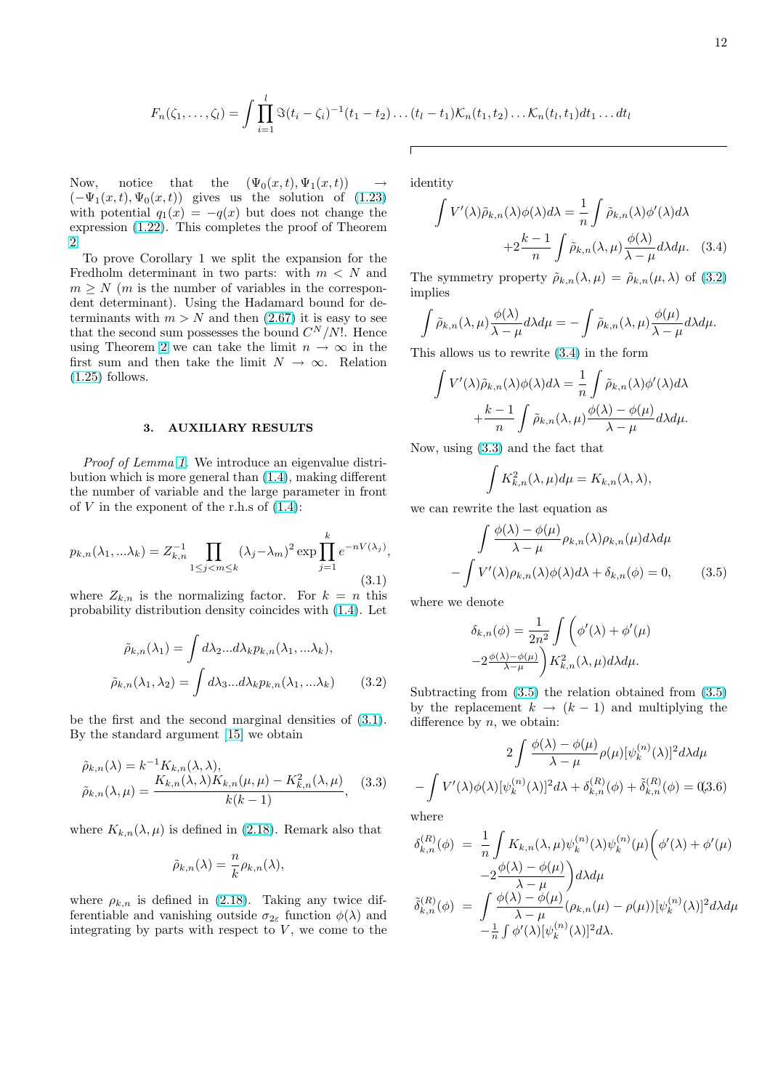$$
F_n(\zeta_1,\ldots,\zeta_l) = \int \prod_{i=1}^l \Im(t_i - \zeta_i)^{-1}(t_1 - t_2)\ldots(t_l - t_1) \mathcal{K}_n(t_1, t_2)\ldots \mathcal{K}_n(t_l, t_1) dt_1 \ldots dt_l
$$

<span id="page-11-0"></span>Now, notice that the  $(\Psi_0(x,t), \Psi_1(x,t))$  $(-\Psi_1(x,t), \Psi_0(x,t))$  gives us the solution of (1.23) with potential  $q_1(x) = -q(x)$  but does not change the expression (1.22). This completes the proof of Theorem 2.

To prove Corollary 1 we split the expansion f[or the](#page-2-0) Fredholm determinant in two parts: with  $m < N$  and  $m \geq N$  (*m* [is th](#page-2-0)e number of variables in the correspon[de](#page-2-0)nt determinant). Using the Hadamard bound for determinants with  $m > N$  and then  $(2.67)$  it is easy to see that the second sum possesses the bound  $C^N/N!$ . Hence using Theorem 2 we can take the limit  $n \to \infty$  in the first sum and then take the limit  $N \to \infty$ . Relation (1.25) follows.

### 3. AUXILIARY RESULTS

Proof of Lemma 1. We introduce an eigenvalue distribution which is more general than (1.4), making different the number of variable and the large parameter in front of  $V$  in the exponent of the r.h.s of  $(1.4)$ :

$$
p_{k,n}(\lambda_1, \ldots \lambda_k) = Z_{k,n}^{-1} \prod_{1 \le j < m \le k} (\lambda_j - \lambda_m)^2 \exp \prod_{j=1}^k e^{-nV(\lambda_j)},\tag{3.1}
$$

where  $Z_{k,n}$  is the normalizing factor. For  $k = n$  this probability distribution density coincides with (1.4). Let

$$
\tilde{\rho}_{k,n}(\lambda_1) = \int d\lambda_2 ... d\lambda_k p_{k,n}(\lambda_1, ... \lambda_k),
$$
  

$$
\tilde{\rho}_{k,n}(\lambda_1, \lambda_2) = \int d\lambda_3 ... d\lambda_k p_{k,n}(\lambda_1, ... \lambda_k)
$$
(3.2)

be the first and the second marginal densities of (3.1). By the standard argument [15] we obtain

$$
\tilde{\rho}_{k,n}(\lambda) = k^{-1} K_{k,n}(\lambda, \lambda),
$$
  
\n
$$
\tilde{\rho}_{k,n}(\lambda, \mu) = \frac{K_{k,n}(\lambda, \lambda) K_{k,n}(\mu, \mu) - K_{k,n}^2(\lambda, \mu)}{k(k-1)},
$$
\n(3.3)

where  $K_{k,n}(\lambda,\mu)$  is defined in (2.18). Remark also that

$$
\tilde{\rho}_{k,n}(\lambda) = \frac{n}{k} \rho_{k,n}(\lambda),
$$

where  $\rho_{k,n}$  is defined in (2.18[\). T](#page-4-0)aking any twice differentiable and vanishing outside  $\sigma_{2\varepsilon}$  function  $\phi(\lambda)$  and integrating by parts with respect to  $V$ , we come to the identity

$$
\int V'(\lambda)\tilde{\rho}_{k,n}(\lambda)\phi(\lambda)d\lambda = \frac{1}{n}\int \tilde{\rho}_{k,n}(\lambda)\phi'(\lambda)d\lambda
$$

$$
+2\frac{k-1}{n}\int \tilde{\rho}_{k,n}(\lambda,\mu)\frac{\phi(\lambda)}{\lambda-\mu}d\lambda d\mu. \quad (3.4)
$$

The symmetry property  $\tilde{\rho}_{k,n}(\lambda,\mu) = \tilde{\rho}_{k,n}(\mu,\lambda)$  of (3.2) implies

$$
\int \tilde{\rho}_{k,n}(\lambda,\mu)\frac{\phi(\lambda)}{\lambda-\mu}d\lambda d\mu = -\int \tilde{\rho}_{k,n}(\lambda,\mu)\frac{\phi(\mu)}{\lambda-\mu}d\lambda d\mu.
$$

This allows us to rewrite (3.4) in the form

$$
\int V'(\lambda)\tilde{\rho}_{k,n}(\lambda)\phi(\lambda)d\lambda = \frac{1}{n}\int \tilde{\rho}_{k,n}(\lambda)\phi'(\lambda)d\lambda \n+ \frac{k-1}{n}\int \tilde{\rho}_{k,n}(\lambda,\mu)\frac{\phi(\lambda)-\phi(\mu)}{\lambda-\mu}d\lambda d\mu.
$$

Now, using (3.3) and the fact that

$$
\int K_{k,n}^2(\lambda,\mu)d\mu = K_{k,n}(\lambda,\lambda),
$$

we can rewrite the last equation as

$$
\int \frac{\phi(\lambda) - \phi(\mu)}{\lambda - \mu} \rho_{k,n}(\lambda) \rho_{k,n}(\mu) d\lambda d\mu
$$

$$
- \int V'(\lambda) \rho_{k,n}(\lambda) \phi(\lambda) d\lambda + \delta_{k,n}(\phi) = 0, \qquad (3.5)
$$

where we denote

$$
\delta_{k,n}(\phi) = \frac{1}{2n^2} \int \left( \phi'(\lambda) + \phi'(\mu) \right)
$$

$$
-2 \frac{\phi(\lambda) - \phi(\mu)}{\lambda - \mu} \bigg) K_{k,n}^2(\lambda, \mu) d\lambda d\mu.
$$

Subtracting from (3.5) the relation obtained from (3.5) by the replacement  $k \rightarrow (k-1)$  and multiplying the difference by  $n$ , we obtain:

$$
2\int \frac{\phi(\lambda) - \phi(\mu)}{\lambda - \mu} \rho(\mu) [\psi_k^{(n)}(\lambda)]^2 d\lambda d\mu
$$

$$
-\int V'(\lambda)\phi(\lambda) [\psi_k^{(n)}(\lambda)]^2 d\lambda + \delta_{k,n}^{(R)}(\phi) + \tilde{\delta}_{k,n}^{(R)}(\phi) = 0.3.6
$$
where

where

$$
\delta_{k,n}^{(R)}(\phi) = \frac{1}{n} \int K_{k,n}(\lambda,\mu) \psi_k^{(n)}(\lambda) \psi_k^{(n)}(\mu) \bigg(\phi'(\lambda) + \phi'(\mu) -2\frac{\phi(\lambda) - \phi(\mu)}{\lambda - \mu}\bigg) d\lambda d\mu
$$

$$
\tilde{\delta}_{k,n}^{(R)}(\phi) = \int \frac{\phi(\lambda) - \phi(\mu)}{\lambda - \mu} (\rho_{k,n}(\mu) - \rho(\mu)) [\psi_k^{(n)}(\lambda)]^2 d\lambda d\mu
$$

$$
-\frac{1}{n} \int \phi'(\lambda) [\psi_k^{(n)}(\lambda)]^2 d\lambda.
$$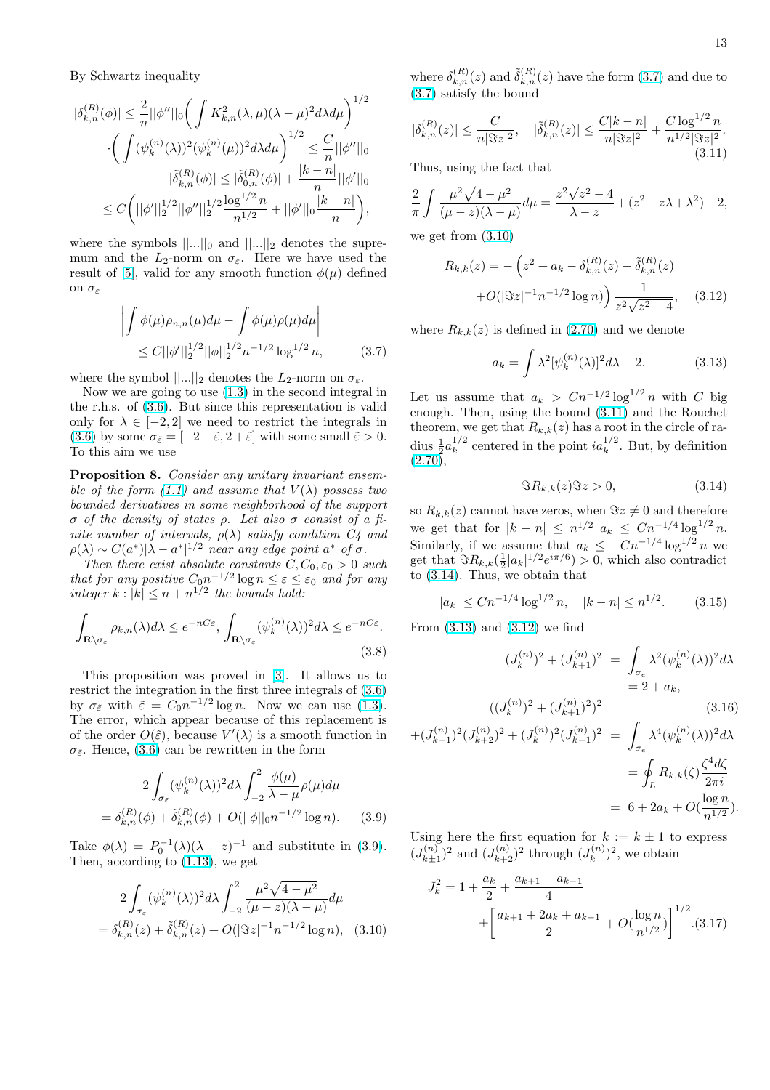<span id="page-12-0"></span>By Schwartz inequality

$$
\begin{aligned} |\delta_{k,n}^{(R)}(\phi)|&\leq \frac{2}{n}||\phi''||_0\bigg(\int K^2_{k,n}(\lambda,\mu)(\lambda-\mu)^2d\lambda d\mu\bigg)^{1/2}\\ &\cdot \bigg(\int (\psi_k^{(n)}(\lambda))^2(\psi_k^{(n)}(\mu))^2d\lambda d\mu\bigg)^{1/2}\leq \frac{C}{n}||\phi''||_0\\ &\quad |\tilde{\delta}_{k,n}^{(R)}(\phi)|\leq |\tilde{\delta}_{0,n}^{(R)}(\phi)|+\frac{|k-n|}{n}||\phi'||_0\\ &\leq C\bigg(||\phi'||_2^{1/2}||\phi''||_2^{1/2}\frac{\log^{1/2}n}{n^{1/2}}+||\phi'||_0\frac{|k-n|}{n}\bigg), \end{aligned}
$$

where the symbols  $||...||_0$  and  $||...||_2$  denotes the supremum and the  $L_2$ -norm on  $\sigma_{\varepsilon}$ . Here we have used the result of [5], valid for any smooth function  $\phi(\mu)$  defined on  $\sigma_{\varepsilon}$ 

$$
\left| \int \phi(\mu)\rho_{n,n}(\mu)d\mu - \int \phi(\mu)\rho(\mu)d\mu \right|
$$
  
 
$$
\leq C||\phi'||_2^{1/2}||\phi||_2^{1/2}n^{-1/2}\log^{1/2}n,
$$
 (3.7)

where the symbol  $||...||_2$  denotes the  $L_2$ -norm on  $\sigma_{\varepsilon}$ .

Now we are going to use (1.3) in the second integral in the r.h.s. of (3.6). But since this representation is valid only for  $\lambda \in [-2, 2]$  we need to restrict the integrals in (3.6) by some  $\sigma_{\tilde{\epsilon}} = [-2-\tilde{\epsilon}, 2+\tilde{\epsilon}]$  with some small  $\tilde{\epsilon} > 0$ . To this aim we use

Proposition [8.](#page-11-0) Consider any unitary invariant ensemble of the form  $(1.1)$  and assume that  $V(\lambda)$  possess two [boun](#page-11-0)ded derivatives in some neighborhood of the support σ of the density of states ρ. Let also σ consist of a finite number of intervals,  $\rho(\lambda)$  satisfy condition  $C_4$  and  $\rho(\lambda) \sim C(a^*)|\lambda - a^*|^{1/2}$  near any edge point  $a^*$  of  $\sigma$ .

Then there ex[ist a](#page-0-0)bsolute constants  $C, C_0, \varepsilon_0 > 0$  such that for any positive  $C_0 n^{-1/2} \log n \leq \varepsilon \leq \varepsilon_0$  and for any integer  $k : |k| \leq n + n^{1/2}$  the bounds hold:

$$
\int_{\mathbf{R}\setminus\sigma_{\varepsilon}} \rho_{k,n}(\lambda) d\lambda \le e^{-nC\varepsilon}, \int_{\mathbf{R}\setminus\sigma_{\varepsilon}} (\psi_k^{(n)}(\lambda))^2 d\lambda \le e^{-nC\varepsilon}.
$$
\n(3.8)

This proposition was proved in [3]. It allows us to restrict the integration in the first three integrals of (3.6) by  $\sigma_{\tilde{\varepsilon}}$  with  $\tilde{\varepsilon} = C_0 n^{-1/2} \log n$ . Now we can use (1.3). The error, which appear because of this replacement is of the order  $O(\tilde{\varepsilon})$ , because  $V'(\lambda)$  is [a s](#page-20-0)mooth function in  $\sigma_{\tilde{\varepsilon}}$ . Hence, (3.6) can be rewritten in the form

$$
2\int_{\sigma_{\tilde{\varepsilon}}} (\psi_k^{(n)}(\lambda))^2 d\lambda \int_{-2}^2 \frac{\phi(\mu)}{\lambda - \mu} \rho(\mu) d\mu
$$
  
=  $\delta_{k,n}^{(R)}(\phi) + \tilde{\delta}_{k,n}^{(R)}(\phi) + O(||\phi||_0 n^{-1/2} \log n).$  (3.9)

Take  $\phi(\lambda) = P_0^{-1}(\lambda)(\lambda - z)^{-1}$  and substitute in (3.9). Then, according to (1.13), we get

$$
2\int_{\sigma_{\tilde{\varepsilon}}} (\psi_k^{(n)}(\lambda))^2 d\lambda \int_{-2}^2 \frac{\mu^2 \sqrt{4 - \mu^2}}{(\mu - z)(\lambda - \mu)} d\mu
$$
  
=  $\delta_{k,n}^{(R)}(z) + \tilde{\delta}_{k,n}^{(R)}(z) + O(|\Im z|^{-1} n^{-1/2} \log n),$  (3.10)

where  $\delta_{k,n}^{(R)}(z)$  and  $\tilde{\delta}_{k,n}^{(R)}(z)$  have the form  $(3.7)$  and due to (3.7) satisfy the bound

$$
|\delta_{k,n}^{(R)}(z)| \le \frac{C}{n|\Im z|^2}, \quad |\tilde{\delta}_{k,n}^{(R)}(z)| \le \frac{C|k-n|}{n|\Im z|^2} + \frac{C\log^{1/2}n}{n^{1/2}|\Im z|^2}.
$$
\n(3.11)

Thus, using the fact that

$$
\frac{2}{\pi} \int \frac{\mu^2 \sqrt{4 - \mu^2}}{(\mu - z)(\lambda - \mu)} d\mu = \frac{z^2 \sqrt{z^2 - 4}}{\lambda - z} + (z^2 + z\lambda + \lambda^2) - 2,
$$

we get from (3.10)

$$
R_{k,k}(z) = -\left(z^2 + a_k - \delta_{k,n}^{(R)}(z) - \tilde{\delta}_{k,n}^{(R)}(z)\right)
$$

$$
+ O(|\Im z|^{-1} n^{-1/2} \log n) \Big) \frac{1}{z^2 \sqrt{z^2 - 4}}, \quad (3.12)
$$

where  $R_{k,k}(z)$  is defined in (2.70) and we denote

$$
a_k = \int \lambda^2 [\psi_k^{(n)}(\lambda)]^2 d\lambda - 2. \tag{3.13}
$$

Let us assume that  $a_k > Cn^{-1/2} \log^{1/2} n$  $a_k > Cn^{-1/2} \log^{1/2} n$  $a_k > Cn^{-1/2} \log^{1/2} n$  with C big enough. Then, using the bound (3.11) and the Rouchet theorem, we get that  $R_{k,k}(z)$  has a root in the circle of radius  $\frac{1}{2}a_k^{1/2}$  $k^{1/2}$  centered in the point  $ia_k^{1/2}$ . But, by definition  $(2.70)$ ,

$$
\Im R_{k,k}(z)\Im z > 0,\tag{3.14}
$$

so  $R_{k,k}(z)$  cannot have zeros, when  $\Im z \neq 0$  and therefore [we ge](#page-9-0)t that for  $|k - n| \leq n^{1/2}$   $a_k \leq C n^{-1/4} \log^{1/2} n$ . Similarly, if we assume that  $a_k \leq -Cn^{-1/4} \log^{1/2} n$  we get that  $\Im R_{k,k}(\frac{1}{2}|a_k|^{1/2}e^{i\pi/6}) > 0$ , which also contradict to (3.14). Thus, we obtain that

$$
|a_k| \le Cn^{-1/4} \log^{1/2} n, \quad |k - n| \le n^{1/2}.
$$
 (3.15)

From  $(3.13)$  and  $(3.12)$  we find

$$
(J_k^{(n)})^2 + (J_{k+1}^{(n)})^2 = \int_{\sigma_e} \lambda^2 (\psi_k^{(n)}(\lambda))^2 d\lambda
$$
  
= 2 + a<sub>k</sub>,  

$$
((J_k^{(n)})^2 + (J_{k+1}^{(n)})^2)^2
$$
(3.16)

$$
+(J_{k+1}^{(n)})^2 (J_{k+2}^{(n)})^2 + (J_k^{(n)})^2 (J_{k-1}^{(n)})^2 = \int_{\sigma_e} \lambda^4 (\psi_k^{(n)}(\lambda))^2 d\lambda
$$
  
= 
$$
\oint_L R_{k,k}(\zeta) \frac{\zeta^4 d\zeta}{2\pi i}
$$
  
= 
$$
6 + 2a_k + O(\frac{\log n}{n^{1/2}}).
$$

Using here the first equation for  $k := k \pm 1$  to express  $(J^{(n)}_{k+1})$  $\binom{n}{k+1}^2$  and  $(J_{k+2}^{(n)})^2$  through  $(J_k^{(n)})$  $\binom{n}{k}^2$ , we obtain

$$
J_k^2 = 1 + \frac{a_k}{2} + \frac{a_{k+1} - a_{k-1}}{4}
$$
  

$$
\pm \left[ \frac{a_{k+1} + 2a_k + a_{k-1}}{2} + O(\frac{\log n}{n^{1/2}}) \right]^{1/2} . (3.17)
$$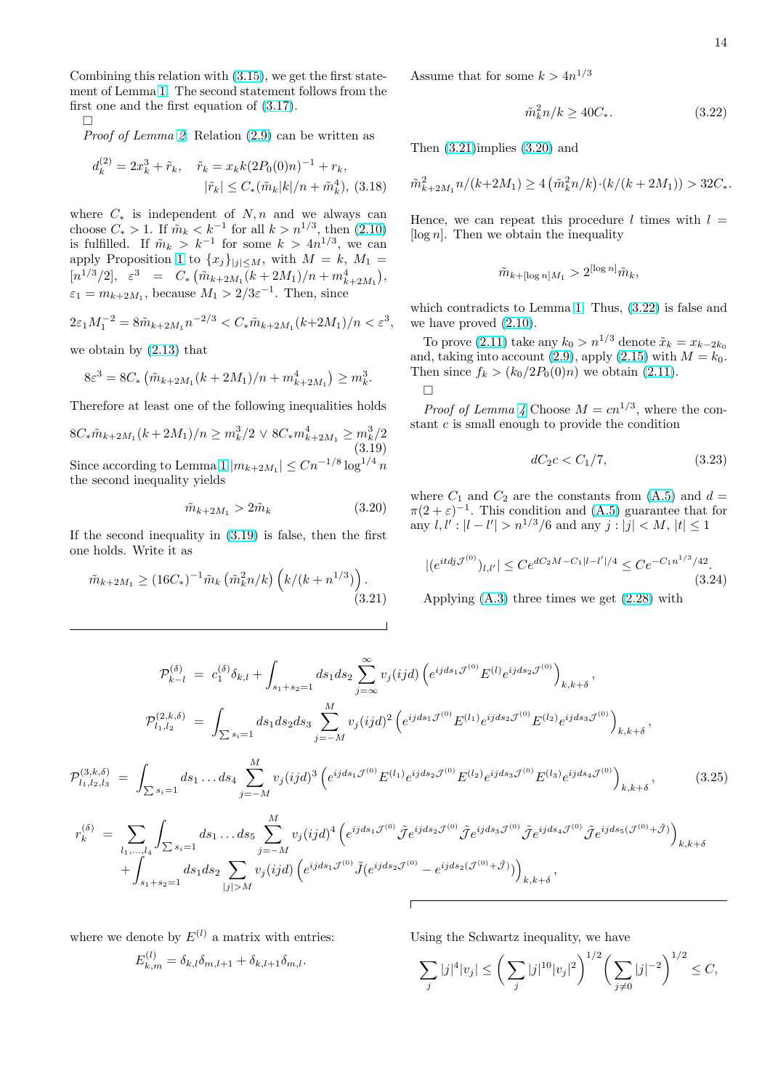<span id="page-13-0"></span>Combining this relation with (3.15), we get the first statement of Lemma 1. The second statement follows from the first one and the first equation of (3.17).

 $\Box$ 

Proof of Lemma 2. Relatio[n \(2.9](#page-12-0)) can be written as

$$
d_k^{(2)} = 2x_k^3 + \tilde{r}_k, \quad \tilde{r}_k = x_k k (2P_0(0)n)^{-1} + r_k,
$$
  

$$
|\tilde{r}_k| \le C_*(\tilde{m}_k|k|/n + \tilde{m}_k^4),
$$
 (3.18)

where  $C_*$  is independent of  $N, n$  and we always can choose  $C_* > 1$ . If  $\tilde{m}_k < k^{-1}$  for all  $k > n^{1/3}$ , then  $(2.10)$ is fulfilled. If  $\tilde{m}_k > k^{-1}$  for some  $k > 4n^{1/3}$ , we can apply Proposition 1 to  $\{x_j\}_{|j|\leq M}$ , with  $M = k$ ,  $M_1 =$  $[n^{1/3}/2], \varepsilon^3 = C_* \left( \tilde{m}_{k+2M_1}(k+2M_1)/n + m_{k+2M_1}^4 \right),$  $\varepsilon_1 = m_{k+2M_1}$ , because  $M_1 > 2/3\varepsilon^{-1}$ . Then, since

$$
2\varepsilon_1 M_1^{-2} = 8\tilde{m}_{k+2M_1} n^{-2/3} < C_* \tilde{m}_{k+2M_1}(k+2M_1)/n < \varepsilon^3,
$$

we obtain by (2.13) that

$$
8\varepsilon^3 = 8C_* \left( \tilde{m}_{k+2M_1}(k+2M_1)/n + m_{k+2M_1}^4 \right) \ge m_k^3.
$$

Therefore atl[east o](#page-3-0)ne of the following inequalities holds

 $8C_*\tilde{m}_{k+2M_1}(k+2M_1)/n \geq m_k^3/2 \vee 8C_*m_{k+2M_1}^4 \geq m_k^3/2$ (3.19) Since according to Lemma 1  $|m_{k+2M_1}| \leq C n^{-1/8} \log^{1/4} n$ the second inequality yields

$$
\tilde{m}_{k+2M_1} > 2\tilde{m}_k \tag{3.20}
$$

If the second inequality i[n \(](#page-2-0)3.19) is false, then the first one holds. Write it as

$$
\tilde{m}_{k+2M_1} \ge (16C_*)^{-1} \tilde{m}_k \left( \tilde{m}_k^2 n/k \right) \left( k/(k+n^{1/3}) \right). \tag{3.21}
$$

Assume that for some  $k > 4n^{1/3}$ 

$$
\tilde{m}_k^2 n / k \ge 40C_*.\tag{3.22}
$$

Then (3.21)implies (3.20) and

$$
\tilde m_{k+2M_1}^2n/(k+2M_1) \ge 4\left(\tilde m_k^2n/k\right)\cdot (k/(k+2M_1)) > 32C_*
$$

Hence, we can repeat this procedure l times with  $l =$ [ $log n$ ]. Then we obtain the inequality

$$
\tilde{m}_{k+\lfloor \log n \rfloor M_1} > 2^{\lfloor \log n \rfloor} \tilde{m}_k,
$$

which contradicts to Lemma 1. Thus, (3.22) is false and we have proved (2.10).

To prove (2.11) take any  $k_0 > n^{1/3}$  denote  $\tilde{x}_k = x_{k-2k_0}$ and, taking into account (2.9), apply (2.15) with  $M = k_0$ . Then since  $f_k > (k_0/2P_0(0)n)$  we obtain (2.11).  $\Box$ 

*Proof of [Lemm](#page-3-0)a 4* Choose  $M = cn^{1/3}$ , where the constant c is small enought[o pr](#page-3-0)ovide th[e con](#page-4-0)dition

$$
dC_2c < C_1/7, \t\t(3.23)
$$

where  $C_1$  and  $C_2$  are the constants from (A.5) and  $d =$  $\pi(2+\varepsilon)^{-1}$ . This condition and (A.5) guarantee that for any  $l, l' : |l - l'| > n^{1/3}/6$  and any  $j : |j| < M, |t| \leq 1$ 

$$
|(e^{itdj\mathcal{J}^{(0)}})_{l,l'}| \le Ce^{dC_2M - C_1|l-l'|/4} \le Ce^{-C_1n^{1/3}/42}.
$$
\n(3.24)

Applying (A.3) three times we get (2.28) with

$$
\mathcal{P}_{k-l}^{(\delta)} = c_1^{(\delta)} \delta_{k,l} + \int_{s_1+s_2=1} ds_1 ds_2 \sum_{j=\infty}^{\infty} v_j(ijd) \left( e^{ijds_1 \mathcal{J}^{(0)}} E^{(l)} e^{ijds_2 \mathcal{J}^{(0)}} \right)_{k,k+\delta},
$$
\n
$$
\mathcal{P}_{l_1,l_2}^{(2,k,\delta)} = \int_{\sum s_i=1} ds_1 ds_2 ds_3 \sum_{j=-M}^M v_j(ijd)^2 \left( e^{ijds_1 \mathcal{J}^{(0)}} E^{(l_1)} e^{ijds_2 \mathcal{J}^{(0)}} E^{(l_2)} e^{ijds_3 \mathcal{J}^{(0)}} \right)_{k,k+\delta},
$$
\n
$$
\mathcal{P}_{l_1,l_2,l_3}^{(3,k,\delta)} = \int_{\sum s_i=1}^M ds_1 \dots ds_4 \sum_{j=-M}^M v_j(ijd)^3 \left( e^{ijds_1 \mathcal{J}^{(0)}} E^{(l_1)} e^{ijds_2 \mathcal{J}^{(0)}} E^{(l_2)} e^{ijds_3 \mathcal{J}^{(0)}} E^{(l_3)} e^{ijds_4 \mathcal{J}^{(0)}} \right)_{k,k+\delta},
$$
\n
$$
r_k^{(\delta)} = \sum_{j=-M}^M \int_{s_1}^M ds_1 \dots ds_5 \sum_{j=\infty}^M v_j(ijd)^4 \left( e^{ijds_1 \mathcal{J}^{(0)}} \tilde{\mathcal{J}} e^{ijds_2 \mathcal{J}^{(0)}} \tilde{\mathcal{J}} e^{ijds_3 \mathcal{J}^{(0)}} \tilde{\mathcal{J}} e^{ijds_4 \mathcal{J}^{(0)}} \tilde{\mathcal{J}} e^{ijds_5 \mathcal{J}^{(0)} + \tilde{\mathcal{J}}} \right)_{k,k+\delta},
$$
\n(3.25)

$$
\begin{aligned}\n\mathcal{L} \times \mathcal{L} &= \sum_{l_1, \dots, l_4} \int_{\sum s_i = 1} \sum_{s_i = 1} \sum_{j = -M} \sum_{j = -M} \nu_j(ij d) \left( e^{ij d s_1 \mathcal{J}^{(0)}} \tilde{J}(e^{ij d s_2 \mathcal{J}^{(0)}} - e^{ij d s_2 (\mathcal{J}^{(0)} + \tilde{\mathcal{J}})}) \right)_{k, k + \delta}, \\
&+ \int_{s_1 + s_2 = 1} d s_1 d s_2 \sum_{|j| > M} \nu_j(ij d) \left( e^{ij d s_1 \mathcal{J}^{(0)}} \tilde{J}(e^{ij d s_2 \mathcal{J}^{(0)}} - e^{ij d s_2 (\mathcal{J}^{(0)} + \tilde{\mathcal{J}})}) \right)_{k, k + \delta},\n\end{aligned}
$$

where we denote by  $E^{(l)}$  a matrix with entries:

$$
E_{k,m}^{(l)} = \delta_{k,l}\delta_{m,l+1} + \delta_{k,l+1}\delta_{m,l}.
$$

Using the Schwartz inequality, we have

$$
\sum_{j} |j|^4 |v_j| \leq \bigg(\sum_{j} |j|^{10} |v_j|^2\bigg)^{1/2} \bigg(\sum_{j \neq 0} |j|^{-2}\bigg)^{1/2} \leq C,
$$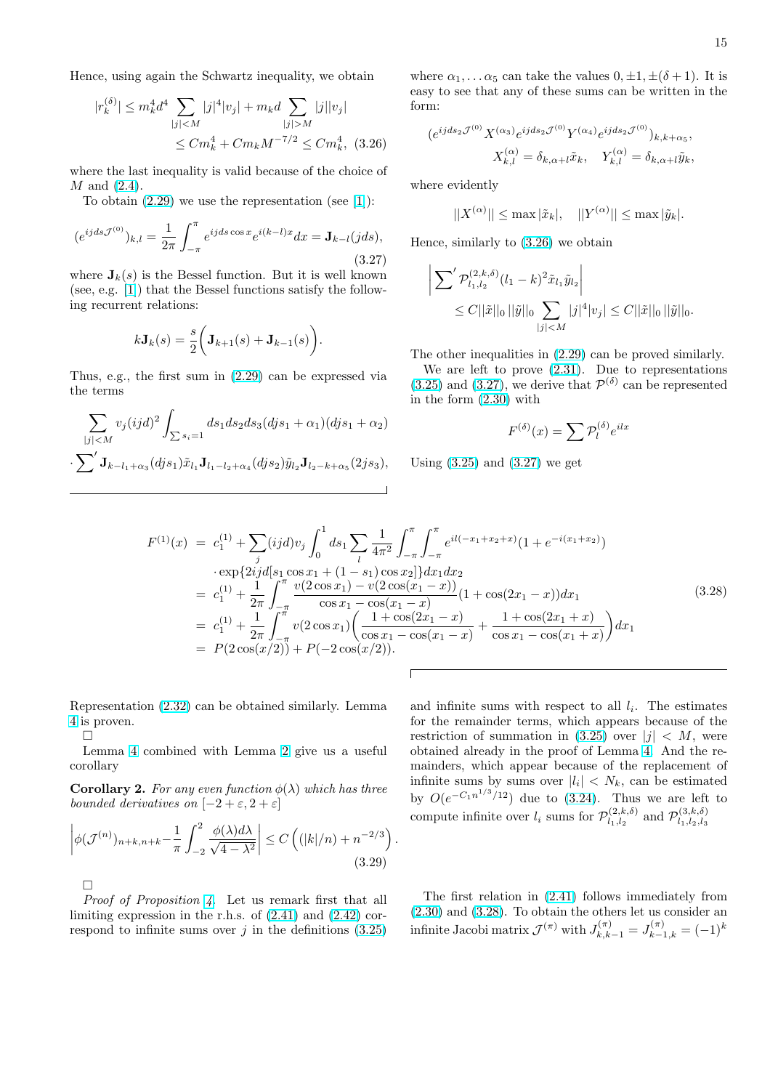Hence, using again the Schwartz inequality, we obtain

$$
|r_k^{(\delta)}| \le m_k^4 d^4 \sum_{|j| < M} |j|^4 |v_j| + m_k d \sum_{|j| > M} |j| |v_j|
$$
  

$$
\le C m_k^4 + C m_k M^{-7/2} \le C m_k^4, \tag{3.26}
$$

where the last inequality is valid because of the choice of  $M$  and  $(2.4)$ .

To obtain  $(2.29)$  we use the representation (see [1]):

$$
(e^{ijds\mathcal{J}^{(0)}})_{k,l} = \frac{1}{2\pi} \int_{-\pi}^{\pi} e^{ijds\cos x} e^{i(k-l)x} dx = \mathbf{J}_{k-l}(jds),
$$
\n(3.27)

where  $J_k(s)$  [is the](#page-5-0) Bessel function. But it is well known (see, e.g. [1]) that the Bessel functions satisfy the following recurrent relations:

$$
k\mathbf{J}_k(s) = \frac{s}{2}\bigg(\mathbf{J}_{k+1}(s) + \mathbf{J}_{k-1}(s)\bigg).
$$

Thus, e.g., the first sum in (2.29) can be expressed via the terms

$$
\sum_{|j|  

$$
\sum' \mathbf{J}_{k-l_1+\alpha_3}(djs_1) \tilde{x}_{l_1} \mathbf{J}_{l_1-l_2+\alpha_4}(djs_2) \tilde{y}_{l_2} \mathbf{J}_{l_2-k+\alpha_5}(2js_3),
$$
$$

where  $\alpha_1, \ldots \alpha_5$  can take the values  $0, \pm 1, \pm (\delta + 1)$ . It is easy to see that any of these sums can be written in the form:

$$
(e^{ijds_2\mathcal{J}^{(0)}}X^{(\alpha_3)}e^{ijds_2\mathcal{J}^{(0)}}Y^{(\alpha_4)}e^{ijds_2\mathcal{J}^{(0)}})_{k,k+\alpha_5},
$$

$$
X_{k,l}^{(\alpha)} = \delta_{k,\alpha+l}\tilde{x}_k, \quad Y_{k,l}^{(\alpha)} = \delta_{k,\alpha+l}\tilde{y}_k,
$$

where evidently

$$
||X^{(\alpha)}|| \leq \max |\tilde{x}_k|, \quad ||Y^{(\alpha)}|| \leq \max |\tilde{y}_k|.
$$

Hence, similarly to (3.26) we obtain

$$
\left| \sum' \mathcal{P}_{l_1, l_2}^{(2,k,\delta)} (l_1 - k)^2 \tilde{x}_{l_1} \tilde{y}_{l_2} \right|
$$
  
 
$$
\leq C ||\tilde{x}||_0 ||\tilde{y}||_0 \sum_{|j| < M} |j|^4 |v_j| \leq C ||\tilde{x}||_0 ||\tilde{y}||_0.
$$

The other inequalities in (2.29) can be proved similarly.

We are left to prove (2.31). Due to representations  $(3.25)$  and  $(3.27)$ , we derive that  $\mathcal{P}^{(\delta)}$  can be represented in the form (2.30) with

$$
F^{(\delta)}(x) = \sum \mathcal{P}_l^{(\delta)} e^{ilx}
$$

Using  $(3.25)$  [and](#page-5-0)  $(3.27)$  we get

$$
F^{(1)}(x) = c_1^{(1)} + \sum_j (ijd)v_j \int_0^1 ds_1 \sum_l \frac{1}{4\pi^2} \int_{-\pi}^{\pi} \int_{-\pi}^{\pi} e^{il(-x_1 + x_2 + x)} (1 + e^{-i(x_1 + x_2)})
$$
  
\n
$$
\cdot \exp\{2ijd[s_1 \cos x_1 + (1 - s_1) \cos x_2]\} dx_1 dx_2
$$
  
\n
$$
= c_1^{(1)} + \frac{1}{2\pi} \int_{-\pi}^{\pi} \frac{v(2 \cos x_1) - v(2 \cos(x_1 - x))}{\cos x_1 - \cos(x_1 - x)} (1 + \cos(2x_1 - x)) dx_1
$$
  
\n
$$
= c_1^{(1)} + \frac{1}{2\pi} \int_{-\pi}^{\pi} v(2 \cos x_1) \left(\frac{1 + \cos(2x_1 - x)}{\cos x_1 - \cos(x_1 - x)} + \frac{1 + \cos(2x_1 + x)}{\cos x_1 - \cos(x_1 + x)}\right) dx_1
$$
  
\n
$$
= P(2 \cos(x/2)) + P(-2 \cos(x/2)).
$$
  
\n(3.28)

.

Representation (2.32) can be obtained similarly. Lemma 4 is proven.

Lemma 4 combined with Lemma 2 give us a useful corollary

 $\Box$ 

**[C](#page-5-0)orollary 2.** For any even function  $\phi(\lambda)$  which has three bounded d[eri](#page-5-0)vatives on  $[-2 + \varepsilon, 2 + \varepsilon]$  $[-2 + \varepsilon, 2 + \varepsilon]$ 

$$
\left| \phi(\mathcal{J}^{(n)})_{n+k,n+k} - \frac{1}{\pi} \int_{-2}^{2} \frac{\phi(\lambda) d\lambda}{\sqrt{4 - \lambda^2}} \right| \le C \left( (|k|/n) + n^{-2/3} \right)
$$
\n
$$
\Box
$$
\n
$$
\Box
$$
\n(3.29)

Proof of Proposition 4. Let us remark first that all limiting expression in the r.h.s. of  $(2.41)$  and  $(2.42)$  correspond to infinite sums over  $j$  in the definitions  $(3.25)$ 

and infinite sums with respect to all  $l_i$ . The estimates for the remainder terms, which appears because of the restriction of summation in  $(3.25)$  over  $|j| < M$ , were obtained already in the proof of Lemma 4. And the remainders, which appear because of the replacement of infinite sums by sums over  $|l_i| < N_k$ , can be estimated by  $O(e^{-C_1 n^{1/3}/12})$  due to (3[.24\).](#page-13-0) Thus we are left to compute infinite over  $l_i$  sums for  $\mathcal{P}_{l_1, l_2}^{(2,k,\delta)}$  $l_{1}, l_{2}^{(2,k,\delta)}$  [an](#page-5-0)d  $\mathcal{P}_{l_{1}, l_{2}, l_{3}}^{(3,k,\delta)}$  $l_1,l_2,l_3$ 

The first relation in (2.41) follows immediately from (2.30) and (3.28). To obtain the others let us consider an infinite Jacobi matrix  $\mathcal{J}^{(\pi)}$  with  $J_{k,k-1}^{(\pi)}=J_{k-1,k}^{(\pi)}=(-1)^k$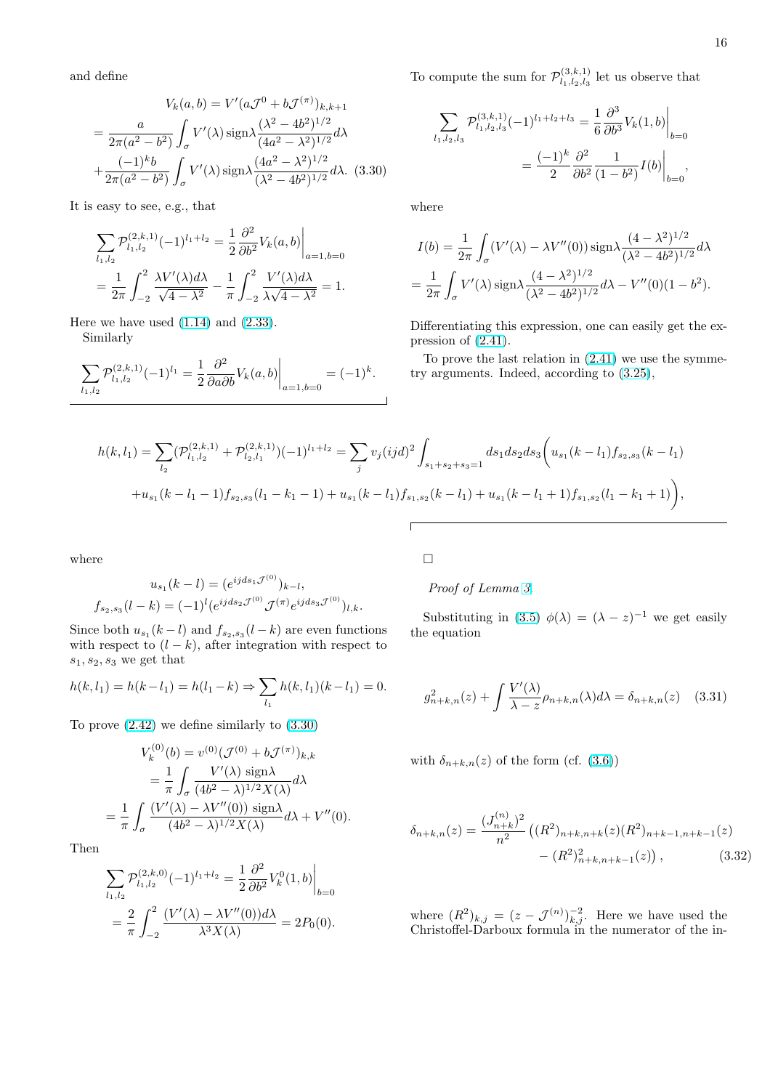<span id="page-15-0"></span>and define

$$
V_k(a,b) = V'(a\mathcal{J}^0 + b\mathcal{J}^{(\pi)})_{k,k+1}
$$

$$
= \frac{a}{2\pi(a^2 - b^2)} \int_{\sigma} V'(\lambda) \operatorname{sign} \lambda \frac{(\lambda^2 - 4b^2)^{1/2}}{(4a^2 - \lambda^2)^{1/2}} d\lambda
$$

$$
+ \frac{(-1)^k b}{2\pi(a^2 - b^2)} \int_{\sigma} V'(\lambda) \operatorname{sign} \lambda \frac{(4a^2 - \lambda^2)^{1/2}}{(\lambda^2 - 4b^2)^{1/2}} d\lambda. \tag{3.30}
$$

It is easy to see, e.g., that

$$
\sum_{l_1,l_2} \mathcal{P}_{l_1,l_2}^{(2,k,1)}(-1)^{l_1+l_2} = \frac{1}{2} \frac{\partial^2}{\partial b^2} V_k(a,b) \Big|_{a=1,b=0}
$$
  
= 
$$
\frac{1}{2\pi} \int_{-2}^2 \frac{\lambda V'(\lambda) d\lambda}{\sqrt{4-\lambda^2}} - \frac{1}{\pi} \int_{-2}^2 \frac{V'(\lambda) d\lambda}{\lambda \sqrt{4-\lambda^2}} = 1.
$$

Here we have used  $(1.14)$  and  $(2.33)$ . Similarly

$$
\sum_{l_1,l_2} \mathcal{P}_{l_1,l_2}^{(2,k,1)}(-1)^{l_1} = \frac{1}{2} \frac{\partial^2}{\partial a \partial b} V_k(a,b) \bigg|_{a=1,b=0} = (-1)^k.
$$

To compute the sum for  $\mathcal{P}_{l_1 l_2 l_3}^{(3,k,1)}$  $\lim_{l_1, l_2, l_3}$  let us observe that

$$
\sum_{l_1,l_2,l_3} \mathcal{P}_{l_1,l_2,l_3}^{(3,k,1)}(-1)^{l_1+l_2+l_3} = \frac{1}{6} \frac{\partial^3}{\partial b^3} V_k(1,b) \Big|_{b=0}
$$

$$
= \frac{(-1)^k}{2} \frac{\partial^2}{\partial b^2} \frac{1}{(1-b^2)} I(b) \Big|_{b=0},
$$

where

$$
I(b) = \frac{1}{2\pi} \int_{\sigma} (V'(\lambda) - \lambda V''(0)) \operatorname{sign} \lambda \frac{(4 - \lambda^2)^{1/2}}{(\lambda^2 - 4b^2)^{1/2}} d\lambda
$$
  
= 
$$
\frac{1}{2\pi} \int_{\sigma} V'(\lambda) \operatorname{sign} \lambda \frac{(4 - \lambda^2)^{1/2}}{(\lambda^2 - 4b^2)^{1/2}} d\lambda - V''(0)(1 - b^2).
$$

Differentiating this expression, one can easily get the expression of (2.41).

To prove the last relation in (2.41) we use the symmetry arguments. Indeed, according to (3.25),

$$
h(k, l_1) = \sum_{l_2} (\mathcal{P}_{l_1, l_2}^{(2, k, 1)} + \mathcal{P}_{l_2, l_1}^{(2, k, 1)}) (-1)^{l_1 + l_2} = \sum_j v_j (ijd)^2 \int_{s_1 + s_2 + s_3 = 1} ds_1 ds_2 ds_3 \left( u_{s_1}(k - l_1) f_{s_2, s_3}(k - l_1) + u_{s_1}(k - l_1 - 1) f_{s_2, s_3}(l_1 - k_1 - 1) + u_{s_1}(k - l_1) f_{s_1, s_2}(k - l_1) + u_{s_1}(k - l_1 + 1) f_{s_1, s_2}(l_1 - k_1 + 1) \right),
$$

where

$$
u_{s_1}(k-l) = (e^{ijds_1 \mathcal{J}^{(0)}})_{k-l},
$$
  

$$
f_{s_2,s_3}(l-k) = (-1)^l (e^{ijds_2 \mathcal{J}^{(0)}} \mathcal{J}^{(\pi)} e^{ijds_3 \mathcal{J}^{(0)}})_{l,k}.
$$

Since both  $u_{s_1}(k-l)$  and  $f_{s_2,s_3}(l-k)$  are even functions with respect to  $(l - k)$ , after integration with respect to  $s_1, s_2, s_3$  we get that

$$
h(k, l_1) = h(k - l_1) = h(l_1 - k) \Rightarrow \sum_{l_1} h(k, l_1)(k - l_1) = 0.
$$

To prove (2.42) we define similarly to (3.30)

$$
V_k^{(0)}(b) = v^{(0)}(\mathcal{J}^{(0)} + b\mathcal{J}^{(\pi)})_{k,k}
$$
  
= 
$$
\frac{1}{\pi} \int_{\sigma} \frac{V'(\lambda) \operatorname{sign} \lambda}{(4b^2 - \lambda)^{1/2} X(\lambda)} d\lambda
$$
  
= 
$$
\frac{1}{\pi} \int_{\sigma} \frac{(V'(\lambda) - \lambda V''(0)) \operatorname{sign} \lambda}{(4b^2 - \lambda)^{1/2} X(\lambda)} d\lambda + V''(0).
$$

Then

$$
\sum_{l_1,l_2} \mathcal{P}_{l_1,l_2}^{(2,k,0)}(-1)^{l_1+l_2} = \frac{1}{2} \frac{\partial^2}{\partial b^2} V_k^0(1,b) \Big|_{b=0}
$$
  
= 
$$
\frac{2}{\pi} \int_{-2}^2 \frac{(V'(\lambda) - \lambda V''(0))d\lambda}{\lambda^3 X(\lambda)} = 2P_0(0).
$$

 $\Box$ 

 $\sqrt{ }$ 

Proof of Lemma 3.

Substituting in (3.5)  $\phi(\lambda) = (\lambda - z)^{-1}$  we get easily the equation

$$
g_{n+k,n}^2(z) + \int \frac{V'(\lambda)}{\lambda - z} \rho_{n+k,n}(\lambda) d\lambda = \delta_{n+k,n}(z) \quad (3.31)
$$

with  $\delta_{n+k,n}(z)$  of the form (cf. (3.6))

$$
\delta_{n+k,n}(z) = \frac{(J_{n+k}^{(n)})^2}{n^2} \left( (R^2)_{n+k,n+k}(z)(R^2)_{n+k-1,n+k-1}(z) - (R^2)_{n+k,n+k-1}^2(z) \right), \tag{3.32}
$$

where  $(R^2)_{k,j} = (z - \mathcal{J}^{(n)})_{k,j}^{-2}$ . Here we have used the Christoffel-Darboux formula in the numerator of the in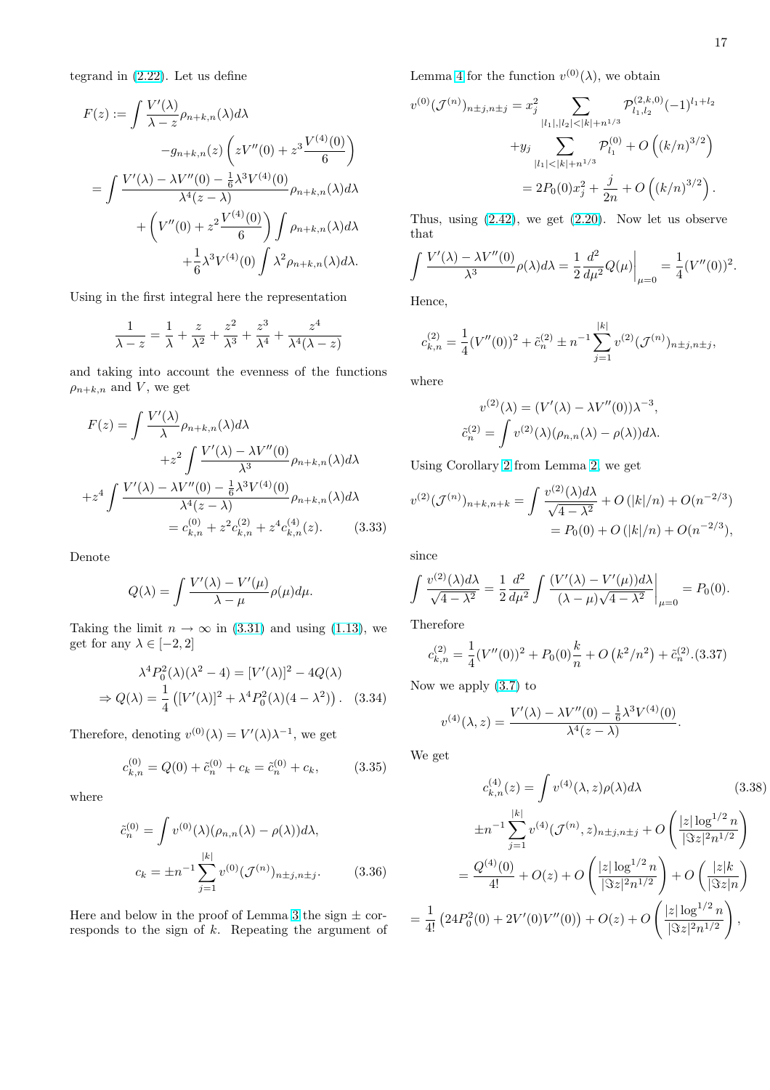<span id="page-16-0"></span>tegrand in (2.22). Let us define

$$
F(z) := \int \frac{V'(\lambda)}{\lambda - z} \rho_{n+k,n}(\lambda) d\lambda
$$
  
\n
$$
-g_{n+k,n}(z) \left( zV''(0) + z^3 \frac{V^{(4)}(0)}{6} \right)
$$
  
\n
$$
= \int \frac{V'(\lambda) - \lambda V''(0) - \frac{1}{6} \lambda^3 V^{(4)}(0)}{\lambda^4 (z - \lambda)} \rho_{n+k,n}(\lambda) d\lambda
$$
  
\n
$$
+ \left( V''(0) + z^2 \frac{V^{(4)}(0)}{6} \right) \int \rho_{n+k,n}(\lambda) d\lambda
$$
  
\n
$$
+ \frac{1}{6} \lambda^3 V^{(4)}(0) \int \lambda^2 \rho_{n+k,n}(\lambda) d\lambda.
$$

Using in the first integral here the representation

$$
\frac{1}{\lambda - z} = \frac{1}{\lambda} + \frac{z}{\lambda^2} + \frac{z^2}{\lambda^3} + \frac{z^3}{\lambda^4} + \frac{z^4}{\lambda^4(\lambda - z)}
$$

and taking into account the evenness of the functions  $\rho_{n+k,n}$  and V, we get

$$
F(z) = \int \frac{V'(\lambda)}{\lambda} \rho_{n+k,n}(\lambda) d\lambda
$$
  
+ $z^2 \int \frac{V'(\lambda) - \lambda V''(0)}{\lambda^3} \rho_{n+k,n}(\lambda) d\lambda$   
+ $z^4 \int \frac{V'(\lambda) - \lambda V''(0) - \frac{1}{6} \lambda^3 V^{(4)}(0)}{\lambda^4 (z - \lambda)} \rho_{n+k,n}(\lambda) d\lambda$   
=  $c_{k,n}^{(0)} + z^2 c_{k,n}^{(2)} + z^4 c_{k,n}^{(4)}(z).$  (3.33)

Denote

$$
Q(\lambda) = \int \frac{V'(\lambda) - V'(\mu)}{\lambda - \mu} \rho(\mu) d\mu.
$$

Taking the limit  $n \to \infty$  in (3.31) and using (1.13), we get for any  $\lambda \in [-2, 2]$ 

$$
\lambda^4 P_0^2(\lambda)(\lambda^2 - 4) = [V'(\lambda)]^2 - 4Q(\lambda)
$$
  
\n
$$
\Rightarrow Q(\lambda) = \frac{1}{4} \left( [V'(\lambda)]^2 + \lambda^4 P_0^2(\lambda)(4 - \lambda^2) \right). \quad (3.34)
$$

Therefore, denoting  $v^{(0)}(\lambda) = V'(\lambda)\lambda^{-1}$ , we get

$$
c_{k,n}^{(0)} = Q(0) + \tilde{c}_n^{(0)} + c_k = \tilde{c}_n^{(0)} + c_k, \qquad (3.35)
$$

where

$$
\tilde{c}_n^{(0)} = \int v^{(0)}(\lambda)(\rho_{n,n}(\lambda) - \rho(\lambda))d\lambda,
$$
  

$$
c_k = \pm n^{-1} \sum_{j=1}^{|k|} v^{(0)}(\mathcal{J}^{(n)})_{n \pm j, n \pm j}.
$$
 (3.36)

Here and below in the proof of Lemma 3 the sign  $\pm$  corresponds to the sign of k. Repeating the argument of Lemma 4 for the function  $v^{(0)}(\lambda)$ , we obtain

$$
v^{(0)}(\mathcal{J}^{(n)})_{n \pm j, n \pm j} = x_j^2 \sum_{|l_1|, |l_2| < |k| + n^{1/3}} \mathcal{P}_{l_1, l_2}^{(2, k, 0)}(-1)^{l_1 + l_2} + y_j \sum_{|l_1| < |k| + n^{1/3}} \mathcal{P}_{l_1}^{(0)} + O\left((k/n)^{3/2}\right) = 2P_0(0)x_j^2 + \frac{j}{2n} + O\left((k/n)^{3/2}\right).
$$

Thus, using (2.42), we get (2.20). Now let us observe that

$$
\int \frac{V'(\lambda) - \lambda V''(0)}{\lambda^3} \rho(\lambda) d\lambda = \frac{1}{2} \frac{d^2}{d\mu^2} Q(\mu) \Big|_{\mu=0} = \frac{1}{4} (V''(0))^2.
$$

Hence,

$$
c_{k,n}^{(2)} = \frac{1}{4} (V''(0))^2 + \tilde{c}_n^{(2)} \pm n^{-1} \sum_{j=1}^{|k|} v^{(2)} (\mathcal{J}^{(n)})_{n \pm j, n \pm j},
$$

where

$$
v^{(2)}(\lambda) = (V'(\lambda) - \lambda V''(0))\lambda^{-3},
$$
  
\n
$$
\tilde{c}_n^{(2)} = \int v^{(2)}(\lambda)(\rho_{n,n}(\lambda) - \rho(\lambda))d\lambda.
$$

Using Corollary 2 from Lemma 2, we get

$$
v^{(2)}(\mathcal{J}^{(n)})_{n+k,n+k} = \int \frac{v^{(2)}(\lambda)d\lambda}{\sqrt{4-\lambda^2}} + O(|k|/n) + O(n^{-2/3})
$$
  
=  $P_0(0) + O(|k|/n) + O(n^{-2/3}),$ 

since

$$
\int \frac{v^{(2)}(\lambda)d\lambda}{\sqrt{4-\lambda^2}} = \frac{1}{2}\frac{d^2}{d\mu^2} \int \frac{(V'(\lambda) - V'(\mu))d\lambda}{(\lambda - \mu)\sqrt{4-\lambda^2}}\bigg|_{\mu=0} = P_0(0).
$$

Therefore

$$
c_{k,n}^{(2)} = \frac{1}{4}(V''(0))^2 + P_0(0)\frac{k}{n} + O(k^2/n^2) + \tilde{c}_n^{(2)}.(3.37)
$$

Now we apply (3.7) to

$$
v^{(4)}(\lambda, z) = \frac{V'(\lambda) - \lambda V''(0) - \frac{1}{6}\lambda^3 V^{(4)}(0)}{\lambda^4 (z - \lambda)}
$$

We get

$$
c_{k,n}^{(4)}(z) = \int v^{(4)}(\lambda, z)\rho(\lambda)d\lambda
$$
(3.38)  
\n
$$
\pm n^{-1} \sum_{j=1}^{|k|} v^{(4)}(\mathcal{J}^{(n)}, z)_{n \pm j, n \pm j} + O\left(\frac{|z| \log^{1/2} n}{|\Im z|^2 n^{1/2}}\right)
$$
\n
$$
= \frac{Q^{(4)}(0)}{4!} + O(z) + O\left(\frac{|z| \log^{1/2} n}{|\Im z|^2 n^{1/2}}\right) + O\left(\frac{|z|k}{|\Im z|n}\right)
$$
\n
$$
= \frac{1}{4!} \left(24P_0^2(0) + 2V'(0)V''(0)\right) + O(z) + O\left(\frac{|z| \log^{1/2} n}{|\Im z|^2 n^{1/2}}\right),
$$

.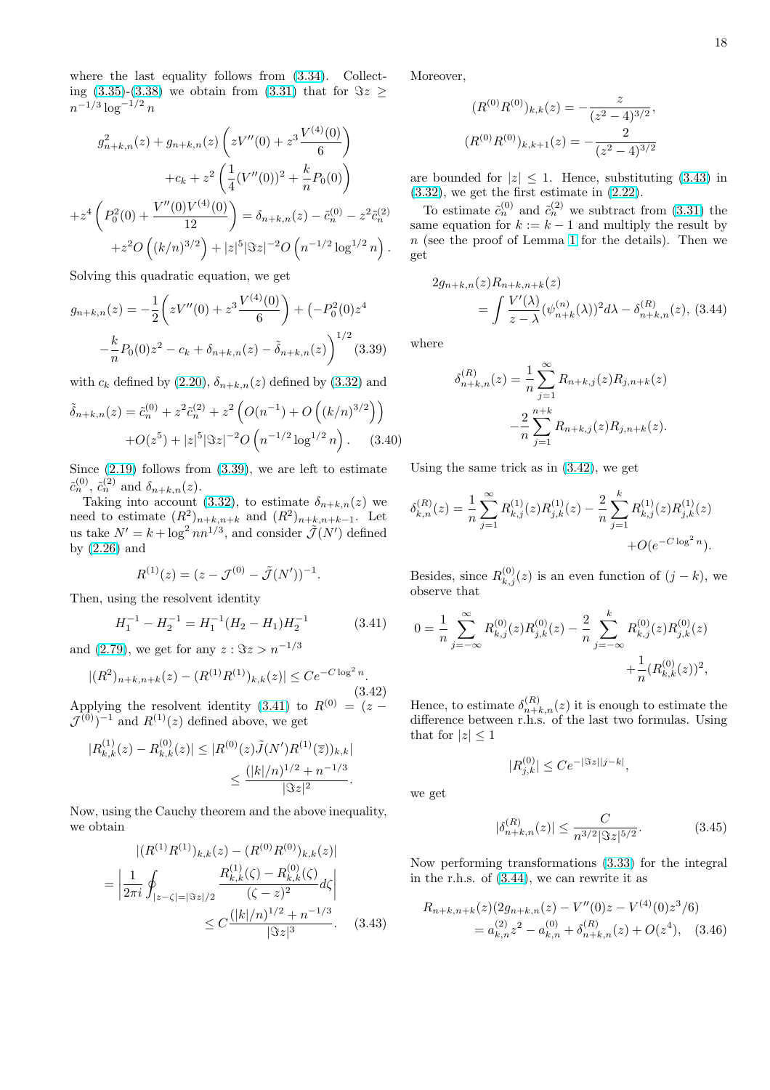<span id="page-17-0"></span>where the last equality follows from (3.34). Collecting (3.35)-(3.38) we obtain from (3.31) that for  $\Im z \ge$  $n^{-1/3} \log^{-1/2} n$ 

$$
g_{n+k,n}^2(z) + g_{n+k,n}(z) \left( zV''(0) + z^3 \frac{V^{(4)}(0)}{6} \right)
$$
  
+
$$
c_k + z^2 \left( \frac{1}{4} (V''(0))^2 + \frac{k}{n} P_0(0) \right)
$$
  
+
$$
z^4 \left( P_0^2(0) + \frac{V''(0)V^{(4)}(0)}{12} \right) = \delta_{n+k,n}(z) - \tilde{c}_n^{(0)} - z^2 \tilde{c}_n^{(2)}
$$
  
+
$$
z^2 O\left( (k/n)^{3/2} \right) + |z|^5 |\Im z|^{-2} O\left( n^{-1/2} \log^{1/2} n \right).
$$

Solving this quadratic equation, we get

$$
g_{n+k,n}(z) = -\frac{1}{2} \left( zV''(0) + z^3 \frac{V^{(4)}(0)}{6} \right) + \left( -P_0^2(0)z^4 - \frac{k}{n}P_0(0)z^2 - c_k + \delta_{n+k,n}(z) - \tilde{\delta}_{n+k,n}(z) \right)^{1/2} (3.39)
$$

with  $c_k$  defined by  $(2.20)$ ,  $\delta_{n+k,n}(z)$  defined by  $(3.32)$  and

$$
\tilde{\delta}_{n+k,n}(z) = \tilde{c}_n^{(0)} + z^2 \tilde{c}_n^{(2)} + z^2 \left( O(n^{-1}) + O\left( (k/n)^{3/2} \right) \right) + O(z^5) + |z|^5 |\Im z|^{-2} O\left( n^{-1/2} \log^{1/2} n \right).
$$
 (3.40)

Since  $(2.19)$  follows from  $(3.39)$ , we are left to estimate  $\tilde{c}_n^{(0)}$ ,  $\tilde{c}_n^{(2)}$  and  $\delta_{n+k,n}(z)$ .

Taking into account (3.32), to estimate  $\delta_{n+k,n}(z)$  we need to estimate  $(R^2)_{n+k,n+k}$  and  $(R^2)_{n+k,n+k-1}$ . Let us take  $N' = k + \log^2 nn^{1/3}$  $N' = k + \log^2 nn^{1/3}$ , and consider  $\mathcal{J}(N')$  defined by (2.26) and

$$
R^{(1)}(z) = (z - \mathcal{J}^{(0)} - \tilde{\mathcal{J}}(N'))^{-1}.
$$

Then, using the resolvent identity

$$
H_1^{-1} - H_2^{-1} = H_1^{-1}(H_2 - H_1)H_2^{-1}
$$
 (3.41)

and (2.79), we get for any  $z : \Im z > n^{-1/3}$ 

$$
|(R^2)_{n+k,n+k}(z) - (R^{(1)}R^{(1)})_{k,k}(z)| \le Ce^{-C\log^2 n}.
$$
\n(3.42)

Appl[ying](#page-10-0) the resolvent identity (3.41) to  $R^{(0)} = (z \mathcal{J}^{(0)}$ <sup>-1</sup> and  $R^{(1)}(z)$  defined above, we get

$$
|R_{k,k}^{(1)}(z) - R_{k,k}^{(0)}(z)| \le |R^{(0)}(z)\tilde{J}(N')R^{(1)}(\overline{z}))_{k,k}|
$$
  

$$
\le \frac{(|k|/n)^{1/2} + n^{-1/3}}{|\Im z|^2}.
$$

Now, using the Cauchy theorem and the above inequality, we obtain

$$
\begin{aligned} |(R^{(1)}R^{(1)})_{k,k}(z) - (R^{(0)}R^{(0)})_{k,k}(z)| \\ = \left| \frac{1}{2\pi i} \oint_{|z-\zeta|=|\Im z|/2} \frac{R_{k,k}^{(1)}(\zeta) - R_{k,k}^{(0)}(\zeta)}{(\zeta-z)^2} d\zeta \right| \\ \leq C \frac{(|k|/n)^{1/2} + n^{-1/3}}{|\Im z|^3}. \end{aligned} \tag{3.43}
$$

Moreover,

$$
(R^{(0)}R^{(0)})_{k,k}(z) = -\frac{z}{(z^2 - 4)^{3/2}},
$$

$$
(R^{(0)}R^{(0)})_{k,k+1}(z) = -\frac{2}{(z^2 - 4)^{3/2}}
$$

are bounded for  $|z| \leq 1$ . Hence, substituting (3.43) in  $(3.32)$ , we get the first estimate in  $(2.22)$ .

To estimate  $\tilde{c}_n^{(0)}$  and  $\tilde{c}_n^{(2)}$  we subtract from (3.31) the same equation for  $k := k - 1$  and multiply the result by n (see the proof of Lemma 1 for the details). Then we [get](#page-15-0)

$$
2g_{n+k,n}(z)R_{n+k,n+k}(z)
$$
  
= 
$$
\int \frac{V'(\lambda)}{z-\lambda} (\psi_{n+k}^{(n)}(\lambda))^2 d\lambda - \delta_{n+k,n}^{(R)}(z),
$$
 (3.44)

where

$$
\delta_{n+k,n}^{(R)}(z) = \frac{1}{n} \sum_{j=1}^{\infty} R_{n+k,j}(z) R_{j,n+k}(z)
$$

$$
-\frac{2}{n} \sum_{j=1}^{n+k} R_{n+k,j}(z) R_{j,n+k}(z).
$$

Using the same trick as in (3.42), we get

$$
\delta_{k,n}^{(R)}(z) = \frac{1}{n} \sum_{j=1}^{\infty} R_{k,j}^{(1)}(z) R_{j,k}^{(1)}(z) - \frac{2}{n} \sum_{j=1}^{k} R_{k,j}^{(1)}(z) R_{j,k}^{(1)}(z) + O(e^{-C \log^2 n}).
$$

Besides, since  $R_{k,j}^{(0)}(z)$  is an even function of  $(j - k)$ , we observe that

$$
0 = \frac{1}{n} \sum_{j=-\infty}^{\infty} R_{k,j}^{(0)}(z) R_{j,k}^{(0)}(z) - \frac{2}{n} \sum_{j=-\infty}^{k} R_{k,j}^{(0)}(z) R_{j,k}^{(0)}(z) + \frac{1}{n} (R_{k,k}^{(0)}(z))^2,
$$

Hence, to estimate  $\delta_{n+k,n}^{(R)}(z)$  it is enough to estimate the difference between r.h.s. of the last two formulas. Using that for  $|z| < 1$ 

$$
|R_{j,k}^{(0)}| \le Ce^{-|\Im z||j-k|},
$$

we get

$$
|\delta_{n+k,n}^{(R)}(z)| \le \frac{C}{n^{3/2} |\Im z|^{5/2}}.\tag{3.45}
$$

Now performing transformations (3.33) for the integral in the r.h.s. of (3.44), we can rewrite it as

$$
R_{n+k,n+k}(z)(2g_{n+k,n}(z) - V''(0)z - V^{(4)}(0)z^3/6)
$$
  
=  $a_{k,n}^{(2)}z^2 - a_{k,n}^{(0)} + \delta_{n+k,n}^{(R)}(z) + O(z^4)$ , (3.46)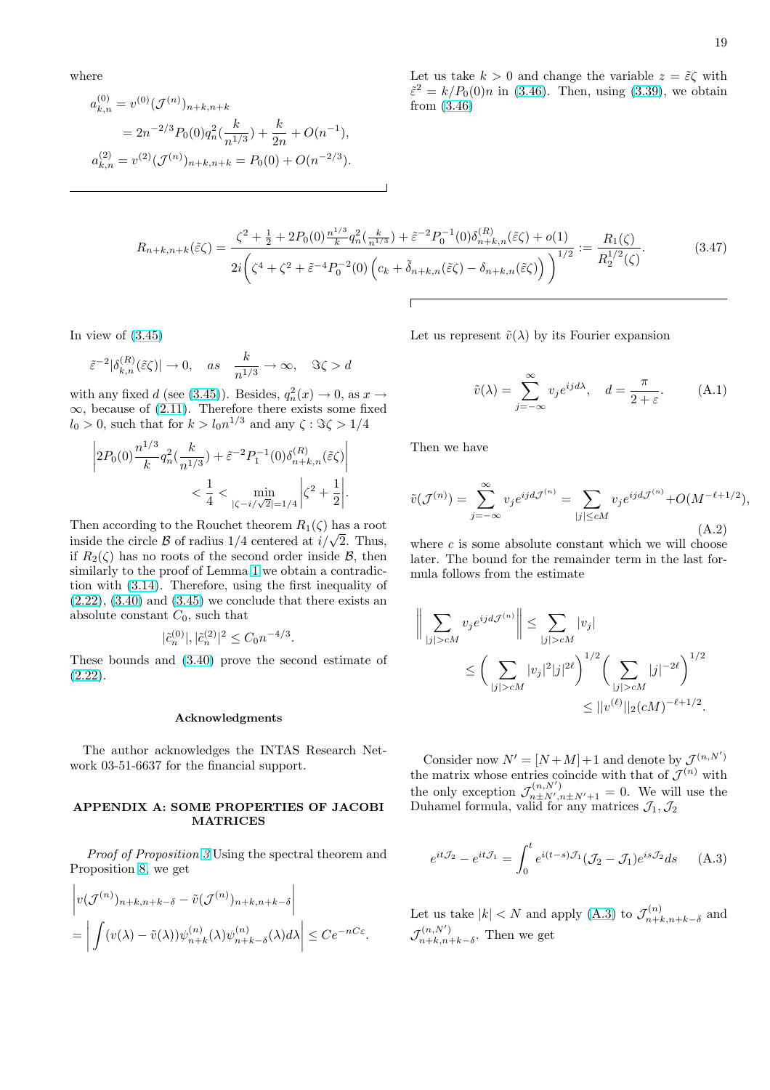<span id="page-18-0"></span>where

$$
a_{k,n}^{(0)} = v^{(0)}(\mathcal{J}^{(n)})_{n+k,n+k}
$$
  
=  $2n^{-2/3}P_0(0)q_n^2(\frac{k}{n^{1/3}}) + \frac{k}{2n} + O(n^{-1}),$   
 $a_{k,n}^{(2)} = v^{(2)}(\mathcal{J}^{(n)})_{n+k,n+k} = P_0(0) + O(n^{-2/3}).$ 

Let us take  $k > 0$  and change the variable  $z = \tilde{\varepsilon} \zeta$  with  $\tilde{\varepsilon}^2 = k/P_0(0)n$  in (3.46). Then, using (3.39), we obtain from (3.46)

$$
R_{n+k,n+k}(\tilde{\varepsilon}\zeta) = \frac{\zeta^2 + \frac{1}{2} + 2P_0(0)\frac{n^{1/3}}{k}q_n^2(\frac{k}{n^{1/3}}) + \tilde{\varepsilon}^{-2}P_0^{-1}(0)\delta_{n+k,n}^{(R)}(\tilde{\varepsilon}\zeta) + o(1)}{2i\left(\zeta^4 + \zeta^2 + \tilde{\varepsilon}^{-4}P_0^{-2}(0)\left(c_k + \tilde{\delta}_{n+k,n}(\tilde{\varepsilon}\zeta) - \delta_{n+k,n}(\tilde{\varepsilon}\zeta)\right)\right)^{1/2}} := \frac{R_1(\zeta)}{R_2^{1/2}(\zeta)}.
$$
(3.47)

In view of  $(3.45)$ 

$$
\tilde\varepsilon^{-2}|\delta_{k,n}^{(R)}(\tilde\varepsilon\zeta)|\to 0,\quad as\quad \frac{k}{n^{1/3}}\to\infty,\quad \Im\zeta>d
$$

with any fixed d (see (3.45)). Besides,  $q_n^2(x) \to 0$ , as  $x \to$  $\infty$ , becaus[e of \(](#page-17-0)2.11). Therefore there exists some fixed  $l_0 > 0$ , such that for  $k > l_0 n^{1/3}$  and any  $\zeta : \Im \zeta > 1/4$ 

$$
\left|2P_0(0)\frac{n^{1/3}}{k}q_n^2(\frac{k}{n^{1/3}})+\tilde{\varepsilon}^{-2}P_1^{-1}(0)\delta_{n+k,n}^{(R)}(\tilde{\varepsilon}\zeta)\right|\\&<\frac{1}{4}<\min_{|\zeta-i/\sqrt{2}|=1/4}\left|\zeta^2+\frac{1}{2}\right|.
$$

Then according to the Rouchet theorem  $R_1(\zeta)$  has a root inside the circle B of radius  $1/4$  centered at  $i/\sqrt{2}$ . Thus, if  $R_2(\zeta)$  has no roots of the second order inside  $\mathcal{B}$ , then similarly to the proof of Lemma 1 we obtain a contradiction with (3.14). Therefore, using the first inequality of  $(2.22)$ ,  $(3.40)$  and  $(3.45)$  we conclude that there exists an absolute constant  $C_0$ , such that

$$
|\tilde{c}^{(0)}_n|,|\tilde{c}^{(2)}_n|^2\leq C_0n^{-4/3}.
$$

[These](#page-4-0) [bound](#page-17-0)[s a](#page-12-0)n[d \(3.4](#page-17-0)0) prove the second estimate of (2.22).

#### A[ckno](#page-17-0)wledgments

[The](#page-4-0) author acknowledges the INTAS Research Network 03-51-6637 for the financial support.

### APPENDIX A: SOME PROPERTIES OF JACOBI MATRICES

Proof of Proposition 3 Using the spectral theorem and Proposition 8, we get l,

$$
\left| v(\mathcal{J}^{(n)})_{n+k,n+k-\delta} - \tilde{v}(\mathcal{J}^{(n)})_{n+k,n+k-\delta} \right|
$$
  
= 
$$
\left| \int (v(\lambda) - \tilde{v}(\lambda)) \psi_{n+k}^{(n)}(\lambda) \psi_{n+k-\delta}^{(n)}(\lambda) d\lambda \right| \leq C e^{-nC\varepsilon}.
$$

Let us represent  $\tilde{v}(\lambda)$  by its Fourier expansion

$$
\tilde{v}(\lambda) = \sum_{j=-\infty}^{\infty} v_j e^{ijd\lambda}, \quad d = \frac{\pi}{2+\varepsilon}.
$$
 (A.1)

Then we have

$$
\tilde{v}(\mathcal{J}^{(n)}) = \sum_{j=-\infty}^{\infty} v_j e^{ijd\mathcal{J}^{(n)}} = \sum_{|j| \le cM} v_j e^{ijd\mathcal{J}^{(n)}} + O(M^{-\ell+1/2}),
$$
\n(A.2)

where  $c$  is some absolute constant which we will choose later. The bound for the remainder term in the last formula follows from the estimate

$$
\left\| \sum_{|j| > cM} v_j e^{ijd\mathcal{J}^{(n)}} \right\| \leq \sum_{|j| > cM} |v_j|
$$
  
 
$$
\leq \left( \sum_{|j| > cM} |v_j|^2 |j|^{2\ell} \right)^{1/2} \left( \sum_{|j| > cM} |j|^{-2\ell} \right)^{1/2}
$$
  
 
$$
\leq ||v^{(\ell)}||_2 (cM)^{-\ell + 1/2}.
$$

Consider now  $N' = [N + M] + 1$  and denote by  $\mathcal{J}^{(n, N')}$ the matrix whose entries coincide with that of  $\mathcal{J}^{(n)}$  with the only exception  $\mathcal{J}_{n \pm N',n \pm N'+1}^{(n,N')} = 0$ . We will use the Duhamel formula, valid for any matrices  $\mathcal{J}_1, \mathcal{J}_2$ 

$$
e^{it\mathcal{J}_2} - e^{it\mathcal{J}_1} = \int_0^t e^{i(t-s)\mathcal{J}_1} (\mathcal{J}_2 - \mathcal{J}_1) e^{is\mathcal{J}_2} ds \qquad (A.3)
$$

Let us take  $|k| < N$  and apply (A.3) to  $\mathcal{J}_{n+1}^{(n)}$  $\binom{n}{n+k,n+k-\delta}$  and  $\mathcal{J}_{n+k}^{(n,N')}$  $\sum_{n+k,n+k-\delta}^{(n,N)}$ . Then we get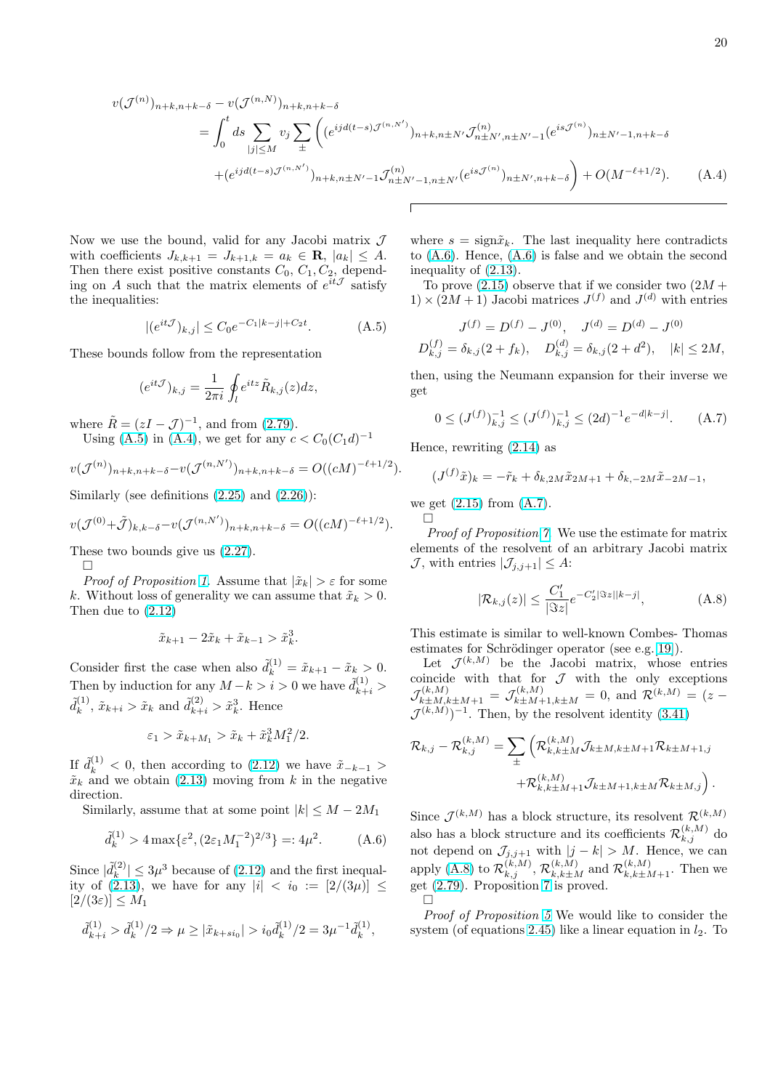<span id="page-19-0"></span>
$$
v(\mathcal{J}^{(n)})_{n+k,n+k-\delta} - v(\mathcal{J}^{(n,N)})_{n+k,n+k-\delta}
$$
  
=  $\int_0^t ds \sum_{|j| \le M} v_j \sum_{\pm} \left( (e^{ijd(t-s)\mathcal{J}^{(n,N')}})_{n+k,n\pm N'} \mathcal{J}^{(n)}_{n\pm N',n\pm N'-1} (e^{is\mathcal{J}^{(n)}})_{n\pm N'-1,n+k-\delta} + (e^{ijd(t-s)\mathcal{J}^{(n,N')}})_{n+k,n\pm N'-1} \mathcal{J}^{(n)}_{n\pm N'-1,n\pm N'} (e^{is\mathcal{J}^{(n)}})_{n\pm N',n+k-\delta} \right) + O(M^{-\ell+1/2}).$  (A.4)

Now we use the bound, valid for any Jacobi matrix  $\mathcal J$ with coefficients  $J_{k,k+1} = J_{k+1,k} = a_k \in \mathbf{R}, |a_k| \leq A$ . Then there exist positive constants  $C_0$ ,  $C_1$ ,  $C_2$ , depending on A such that the matrix elements of  $e^{it\mathcal{J}}$  satisfy the inequalities:

$$
|(e^{it\mathcal{J}})_{k,j}| \leq C_0 e^{-C_1|k-j| + C_2 t}.\tag{A.5}
$$

These bounds follow from the representation

$$
(e^{it\mathcal{J}})_{k,j} = \frac{1}{2\pi i} \oint_l e^{itz} \tilde{R}_{k,j}(z) dz,
$$

where  $\tilde{R} = (zI - \mathcal{J})^{-1}$ , and from (2.79).

Using (A.5) in (A.4), we get for any  $c < C_0 (C_1 d)^{-1}$ 

$$
v(\mathcal{J}^{(n)})_{n+k,n+k-\delta} - v(\mathcal{J}^{(n,N')})_{n+k,n+k-\delta} = O((cM)^{-\ell+1/2}).
$$

Similarly (see definitions  $(2.25)$  and  $(2.26)$ ):

$$
v(\mathcal{J}^{(0)} + \tilde{\mathcal{J}})_{k,k-\delta} - v(\mathcal{J}^{(n,N')})_{n+k,n+k-\delta} = O((cM)^{-\ell+1/2}).
$$

These two bounds give us [\(2.27](#page-5-0)).

 $\Box$ 

*Proof of Proposition 1.* Assume that  $|\tilde{x}_k| > \varepsilon$  for some k. Without loss of generality we can assume that  $\tilde{x}_k > 0$ . Then due to (2.12)

$$
\tilde{x}_{k+1} - 2\tilde{x}_k + \tilde{x}_{k-1} > \tilde{x}_k^3.
$$

Consider first [the](#page-3-0) case when also  $\tilde{d}_k^{(1)} = \tilde{x}_{k+1} - \tilde{x}_k > 0$ . Then by induction for any  $M - k > i > 0$  we have  $\tilde{d}_{k+i}^{(1)}$  >  $\tilde{d}_k^{(1)}$  $\tilde{k}_{k}^{(1)}, \tilde{x}_{k+i} > \tilde{x}_{k}$  and  $\tilde{d}_{k+i}^{(2)} > \tilde{x}_{k}^{3}$ . Hence

$$
\varepsilon_1 > \tilde{x}_{k+M_1} > \tilde{x}_k + \tilde{x}_k^3 M_1^2/2.
$$

If  $\tilde{d}_k^{(1)} < 0$ , then according to (2.12) we have  $\tilde{x}_{-k-1} >$  $\tilde{x}_k$  and we obtain (2.13) moving from k in the negative direction.

Similarly, assume that at some point  $|k| \leq M - 2M_1$ 

$$
\tilde{d}_k^{(1)} > 4 \max \{ \varepsilon^2, (2\varepsilon_1 M_1^{-2})^{2/3} \} =: 4\mu^2. \tag{A.6}
$$

Since  $|\tilde{d}_k^{(2)}|$  $|k^{(2)}| \leq 3\mu^3$  because of (2.12) and the first inequality of  $(2.13)$ , we have for any  $|i| < i_0 := [2/(3\mu)] \le$  $[2/(3\varepsilon)] \leq M_1$ 

$$
\tilde{d}_{k+i}^{(1)} > \tilde{d}_k^{(1)}/2 \Rightarrow \mu \ge |\tilde{x}_{k+si_0}| > i_0 \tilde{d}_k^{(1)}/2 = 3\mu^{-1} \tilde{d}_k^{(1)},
$$

where  $s = \text{sign}\tilde{x}_k$ . The last inequality here contradicts to (A.6). Hence, (A.6) is false and we obtain the second inequality of (2.13).

To prove  $(2.15)$  observe that if we consider two  $(2M +$  $1) \times (2M + 1)$  Jacobi matrices  $J<sup>(f)</sup>$  and  $J<sup>(d)</sup>$  with entries

$$
J^{(f)} = D^{(f)} - J^{(0)}, \quad J^{(d)} = D^{(d)} - J^{(0)}
$$
  

$$
D_{k,j}^{(f)} = \delta_{k,j}(2 + f_k), \quad D_{k,j}^{(d)} = \delta_{k,j}(2 + d^2), \quad |k| \le 2M,
$$

then, using the Neumann expansion for their inverse we get

$$
0 \le (J^{(f)})_{k,j}^{-1} \le (J^{(f)})_{k,j}^{-1} \le (2d)^{-1} e^{-d|k-j|}.
$$
 (A.7)

Hence, rewriting (2.14) as

$$
(J^{(f)}\tilde{x})_k = -\tilde{r}_k + \delta_{k,2M}\tilde{x}_{2M+1} + \delta_{k,-2M}\tilde{x}_{-2M-1},
$$

we get  $(2.15)$  from  $(A.7)$ .

 $\Box$ 

Proof of Proposition 7. We use the estimate for matrix elements of the resolvent of an arbitrary Jacobi matrix  $\mathcal{J}$ , wit[h entr](#page-4-0)ies  $|\mathcal{J}_{j,j+1}| \leq A$ :

$$
|\mathcal{R}_{k,j}(z)| \le \frac{C_1'}{|\Im z|} e^{-C_2'|\Im z||k-j|}, \tag{A.8}
$$

This estimate is similar to well-known Combes- Thomas estimates for Schrödinger operator (see e.g. $[19]$ ).

Let  $\mathcal{J}^{(k,M)}$  be the Jacobi matrix, whose entries coincide with that for  $\mathcal J$  with the only exceptions  $\mathcal{J}_{k\pm M,k\pm M+1}^{(k,M)} = \mathcal{J}_{k\pm M+1,k\pm M}^{(k,M)} = 0$ , and  $\mathcal{R}^{(k,M)} = (z \mathcal{J}^{(k,M)})^{-1}$ . Then, by the resolvent identity [\(3.4](#page-21-0)1)

$$
\mathcal{R}_{k,j} - \mathcal{R}_{k,j}^{(k,M)} = \sum_{\pm} \left( \mathcal{R}_{k,k\pm M}^{(k,M)} \mathcal{J}_{k\pm M,k\pm M+1} \mathcal{R}_{k\pm M+1,j} \right. \\ \left. + \mathcal{R}_{k,k\pm M+1}^{(k,M)} \mathcal{J}_{k\pm M+1,k\pm M} \mathcal{R}_{k\pm M,j} \right).
$$

Since  $\mathcal{J}^{(k,M)}$  has a block structure, its resolvent  $\mathcal{R}^{(k,M)}$ also has a block structure and its coefficients  $\mathcal{R}_{k,j}^{(k,M)}$  do not depend on  $\mathcal{J}_{j,j+1}$  with  $|j-k| > M$ . Hence, we can apply (A.8) to  $\mathcal{R}^{(k,M)}_{k,j}$ ,  $\mathcal{R}^{(k,M)}_{k,k\pm M}$  and  $\mathcal{R}^{(k,M)}_{k,k\pm M+1}$ . Then we get (2.79). Proposition 7 is proved.  $\Box$ 

Proof of Proposition 5 We would like to consider the system (of equations 2.45) like a linear equation in  $l_2$ . To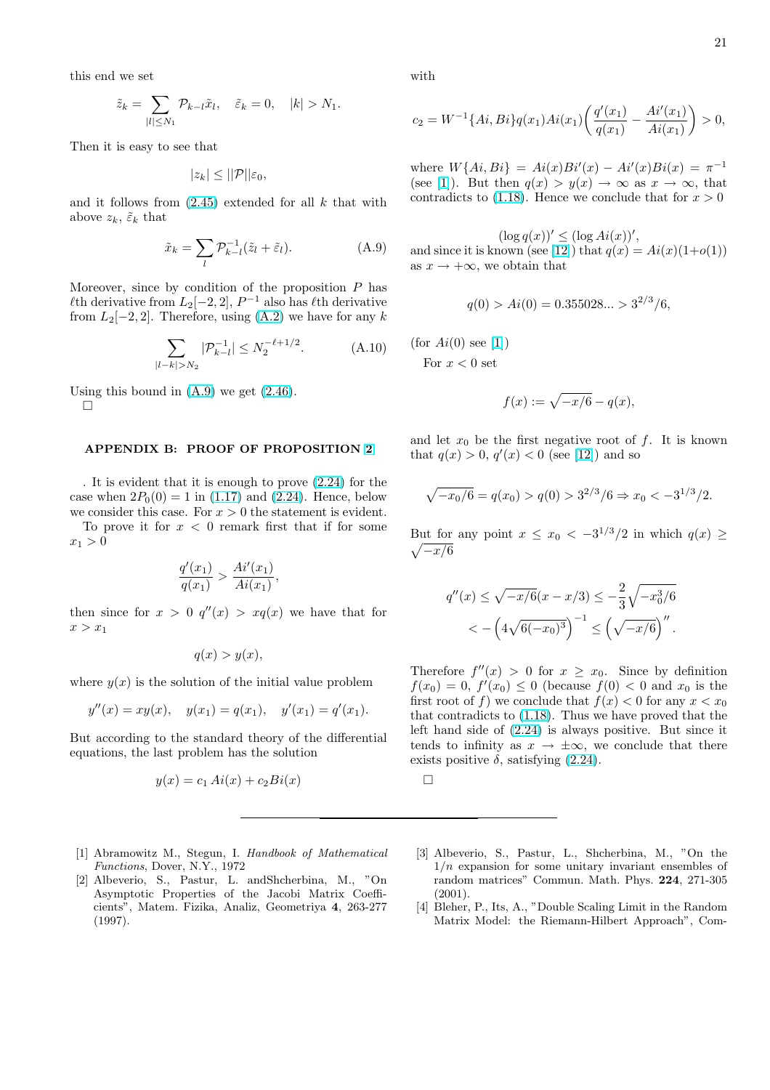<span id="page-20-0"></span>this end we set

$$
\tilde{z}_k = \sum_{|l| \le N_1} \mathcal{P}_{k-l} \tilde{x}_l, \quad \tilde{\varepsilon}_k = 0, \quad |k| > N_1.
$$

Then it is easy to see that

$$
|z_k| \leq ||\mathcal{P}||\varepsilon_0,
$$

and it follows from  $(2.45)$  extended for all k that with above  $z_k$ ,  $\tilde{\varepsilon}_k$  that

$$
\tilde{x}_k = \sum_{l} \mathcal{P}_{k-l}^{-1} (\tilde{z}_l + \tilde{\varepsilon}_l). \tag{A.9}
$$

Moreover, since by condition of the proposition  $P$  has  $\ell$ th derivative from  $L_2[-2, 2]$ ,  $P^{-1}$  also has  $\ell$ th derivative from  $L_2[-2, 2]$ . Therefore, using  $(A.2)$  we have for any k

$$
\sum_{|l-k|>N_2} |\mathcal{P}_{k-l}^{-1}| \le N_2^{-\ell+1/2}.\tag{A.10}
$$

Using this bound in  $(A.9)$  we get  $(2.46)$ .

 $\Box$ 

#### APPENDIX B: PROOF OF [PRO](#page-6-0)POSITION 2

. It is evident that it is enough to prove (2.24) for the case when  $2P_0(0) = 1$  in (1.17) and (2.24). Hence, below we consider this case. For  $x > 0$  the statement is evi[den](#page-5-0)t.

To prove it for  $x < 0$  remark first that if for some  $x_1 > 0$ 

$$
\frac{q'(x_1)}{q(x_1)} > \frac{Ai'(x_1)}{Ai(x_1)},
$$

then since for  $x > 0$   $q''(x) > xq(x)$  we have that for  $x > x_1$ 

$$
q(x) > y(x),
$$

where  $y(x)$  is the solution of the initial value problem

$$
y''(x) = xy(x),
$$
  $y(x_1) = q(x_1),$   $y'(x_1) = q'(x_1).$ 

But according to the standard theory of the differential equations, the last problem has the solution

$$
y(x) = c_1 Ai(x) + c_2 Bi(x)
$$

- [1] Abramowitz M., Stegun, I. Handbook of Mathematical Functions, Dover, N.Y., 1972
- [2] Albeverio, S., Pastur, L. andShcherbina, M., "On Asymptotic Properties of the Jacobi Matrix Coefficients", Matem. Fizika, Analiz, Geometriya 4, 263-277 (1997).

with

$$
c_2 = W^{-1}\{Ai, Bi\}q(x_1)Ai(x_1)\left(\frac{q'(x_1)}{q(x_1)} - \frac{Ai'(x_1)}{Ai(x_1)}\right) > 0,
$$

where  $W\{Ai, Bi\} = Ai(x)Bi'(x) - Ai'(x)Bi(x) = \pi^{-1}$ (see [1]). But then  $q(x) > y(x) \to \infty$  as  $x \to \infty$ , that contradicts to  $(1.18)$ . Hence we conclude that for  $x > 0$ 

 $(\log q(x))' \leq (\log Ai(x))',$ and since it is known (see [12]) that  $q(x) = Ai(x)(1+o(1))$ as  $x \to +\infty$ , w[e obt](#page-2-0)ain that

$$
q(0) > Ai(0) = 0.355028... > 3^{2/3}/6,
$$

(for  $Ai(0)$  see [1]) For  $x < 0$  set

$$
f(x) := \sqrt{-x/6} - q(x),
$$

and let  $x_0$  be the first negative root of f. It is known that  $q(x) > 0, q'(x) < 0$  (see [12]) and so

$$
\sqrt{-x_0/6} = q(x_0) > q(0) > 3^{2/3}/6 \Rightarrow x_0 < -3^{1/3}/2.
$$

But for any point  $x \leq x_0 < -3^{1/3}/2$  in which  $q(x) \geq$  $\sqrt{-x/6}$ 

$$
q''(x) \le \sqrt{-x/6}(x - x/3) \le -\frac{2}{3}\sqrt{-x_0^3/6}
$$
  
< 
$$
< -\left(4\sqrt{6(-x_0)^3}\right)^{-1} \le \left(\sqrt{-x/6}\right)''.
$$

Therefore  $f''(x) > 0$  for  $x \geq x_0$ . Since by definition  $f(x_0) = 0, f'(x_0) \le 0$  (because  $f(0) < 0$  and  $x_0$  is the first root of f) we conclude that  $f(x) < 0$  for any  $x < x_0$ that contradicts to (1.18). Thus we have proved that the left hand side of (2.24) is always positive. But since it tends to infinity as  $x \to \pm \infty$ , we conclude that there exists positive  $\delta$ , satisfying (2.24).

- [3] Albeverio, S., Pastur, L., Shcherbina, M., "On the  $1/n$  expansion for some unitary invariant ensembles of random matrices" Commun. Math. Phys. 224, 271-305 (2001).
- [4] Bleher, P., Its, A., "Double Scaling Limit in the Random Matrix Model: the Riemann-Hilbert Approach", Com-